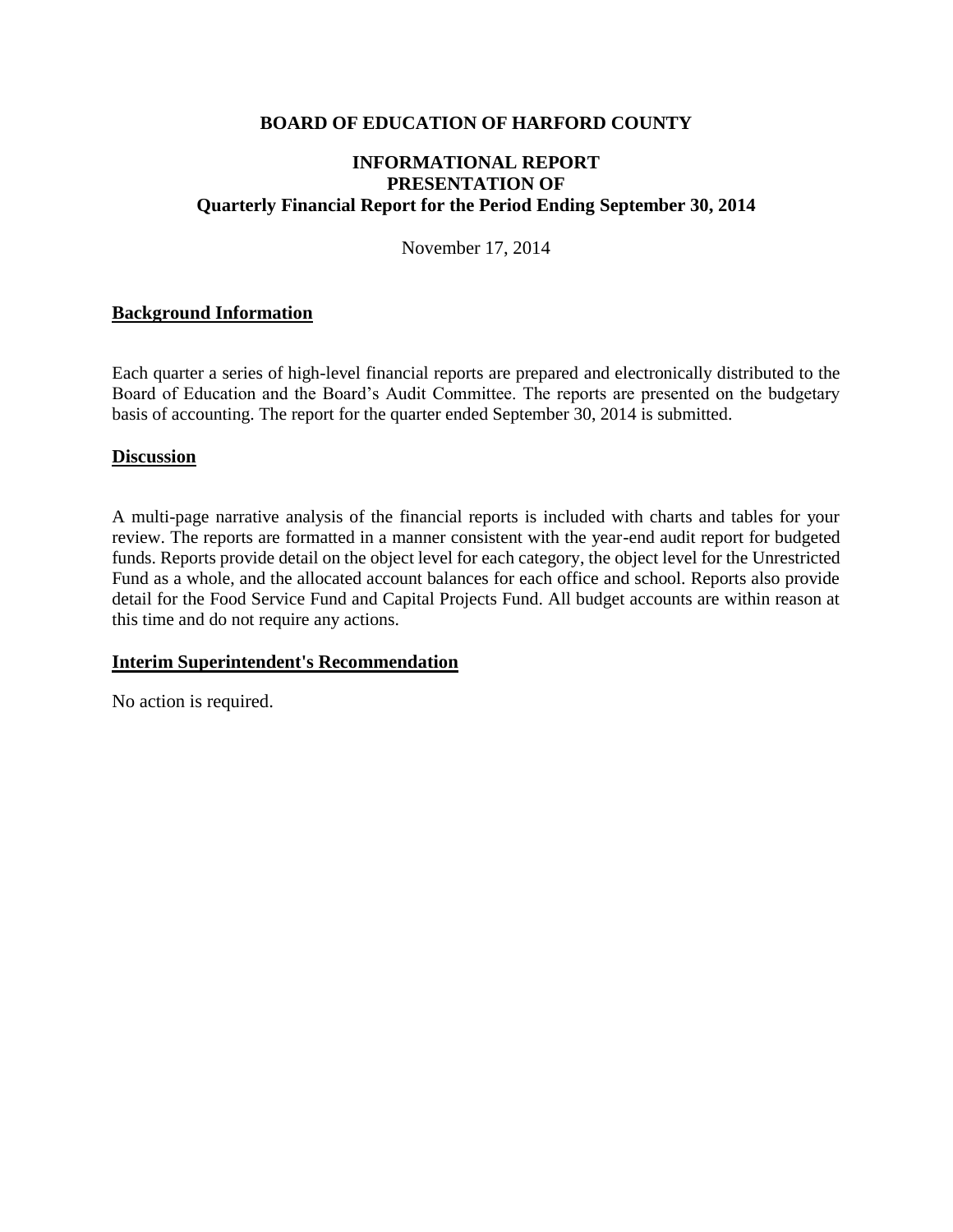## **BOARD OF EDUCATION OF HARFORD COUNTY**

## **INFORMATIONAL REPORT PRESENTATION OF Quarterly Financial Report for the Period Ending September 30, 2014**

November 17, 2014

## **Background Information**

Each quarter a series of high-level financial reports are prepared and electronically distributed to the Board of Education and the Board's Audit Committee. The reports are presented on the budgetary basis of accounting. The report for the quarter ended September 30, 2014 is submitted.

### **Discussion**

A multi-page narrative analysis of the financial reports is included with charts and tables for your review. The reports are formatted in a manner consistent with the year-end audit report for budgeted funds. Reports provide detail on the object level for each category, the object level for the Unrestricted Fund as a whole, and the allocated account balances for each office and school. Reports also provide detail for the Food Service Fund and Capital Projects Fund. All budget accounts are within reason at this time and do not require any actions.

### **Interim Superintendent's Recommendation**

No action is required.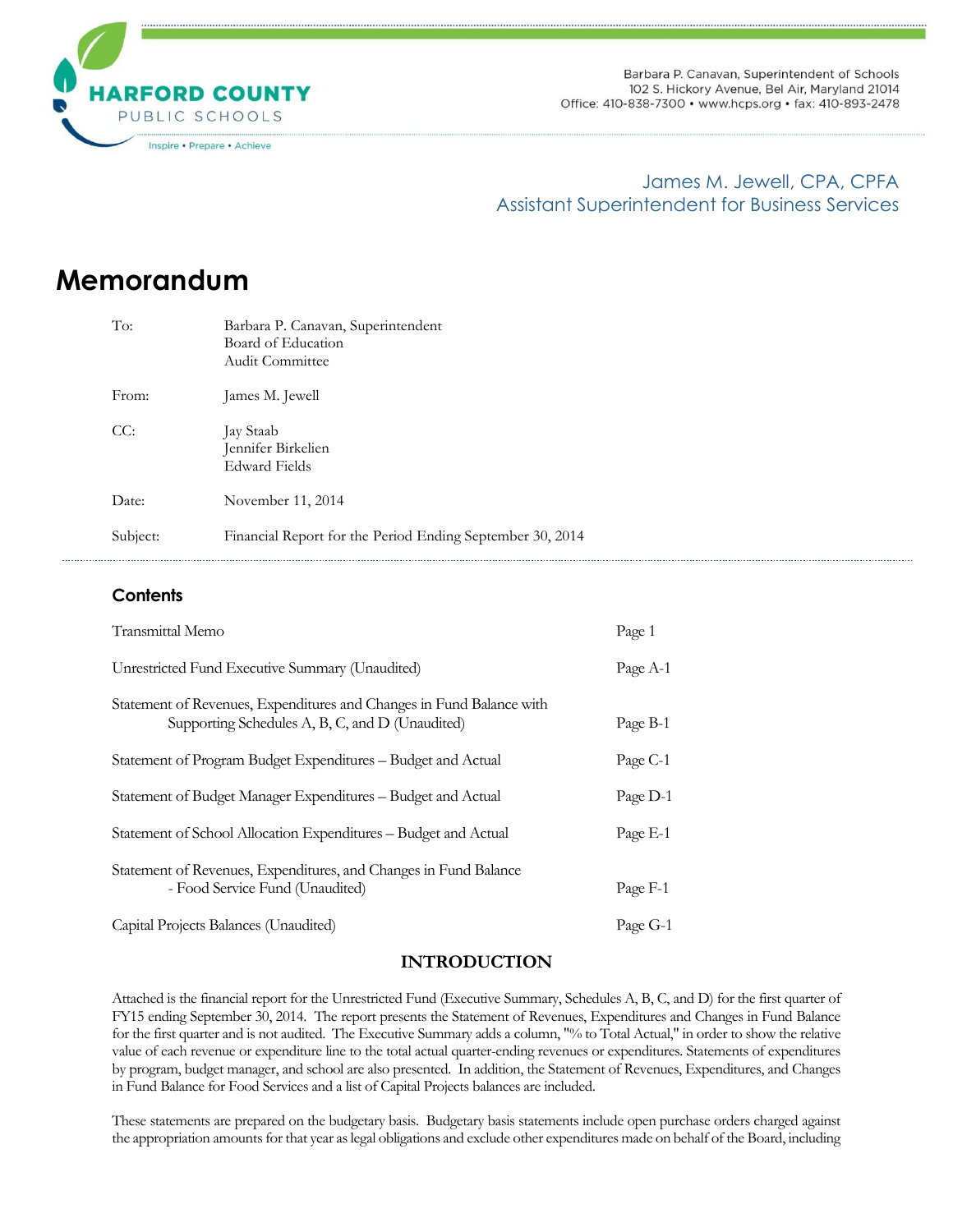

Barbara P. Canavan, Superintendent of Schools 102 S. Hickory Avenue, Bel Air, Maryland 21014 Office: 410-838-7300 · www.hcps.org · fax: 410-893-2478

## James M. Jewell, CPA, CPFA Assistant Superintendent for Business Services

# **Memorandum**

| To:      | Barbara P. Canavan, Superintendent<br>Board of Education<br>Audit Committee |  |
|----------|-----------------------------------------------------------------------------|--|
| From:    | James M. Jewell                                                             |  |
| CC:      | Jay Staab<br>Jennifer Birkelien<br>Edward Fields                            |  |
| Date:    | November 11, 2014                                                           |  |
| Subject: | Financial Report for the Period Ending September 30, 2014                   |  |

### **Contents**

| Transmittal Memo                                                                                                        | Page 1   |
|-------------------------------------------------------------------------------------------------------------------------|----------|
| Unrestricted Fund Executive Summary (Unaudited)                                                                         | Page A-1 |
| Statement of Revenues, Expenditures and Changes in Fund Balance with<br>Supporting Schedules A, B, C, and D (Unaudited) | Page B-1 |
| Statement of Program Budget Expenditures - Budget and Actual                                                            | Page C-1 |
| Statement of Budget Manager Expenditures – Budget and Actual                                                            | Page D-1 |
| Statement of School Allocation Expenditures - Budget and Actual                                                         | Page E-1 |
| Statement of Revenues, Expenditures, and Changes in Fund Balance<br>- Food Service Fund (Unaudited)                     | Page F-1 |
| Capital Projects Balances (Unaudited)                                                                                   | Page G-1 |

### **INTRODUCTION**

Attached is the financial report for the Unrestricted Fund (Executive Summary, Schedules A, B, C, and D) for the first quarter of FY15 ending September 30, 2014. The report presents the Statement of Revenues, Expenditures and Changes in Fund Balance for the first quarter and is not audited. The Executive Summary adds a column, "% to Total Actual," in order to show the relative value of each revenue or expenditure line to the total actual quarter-ending revenues or expenditures. Statements of expenditures by program, budget manager, and school are also presented. In addition, the Statement of Revenues, Expenditures, and Changes in Fund Balance for Food Services and a list of Capital Projects balances are included.

These statements are prepared on the budgetary basis. Budgetary basis statements include open purchase orders charged against the appropriation amounts for that year as legal obligations and exclude other expenditures made on behalf of the Board, including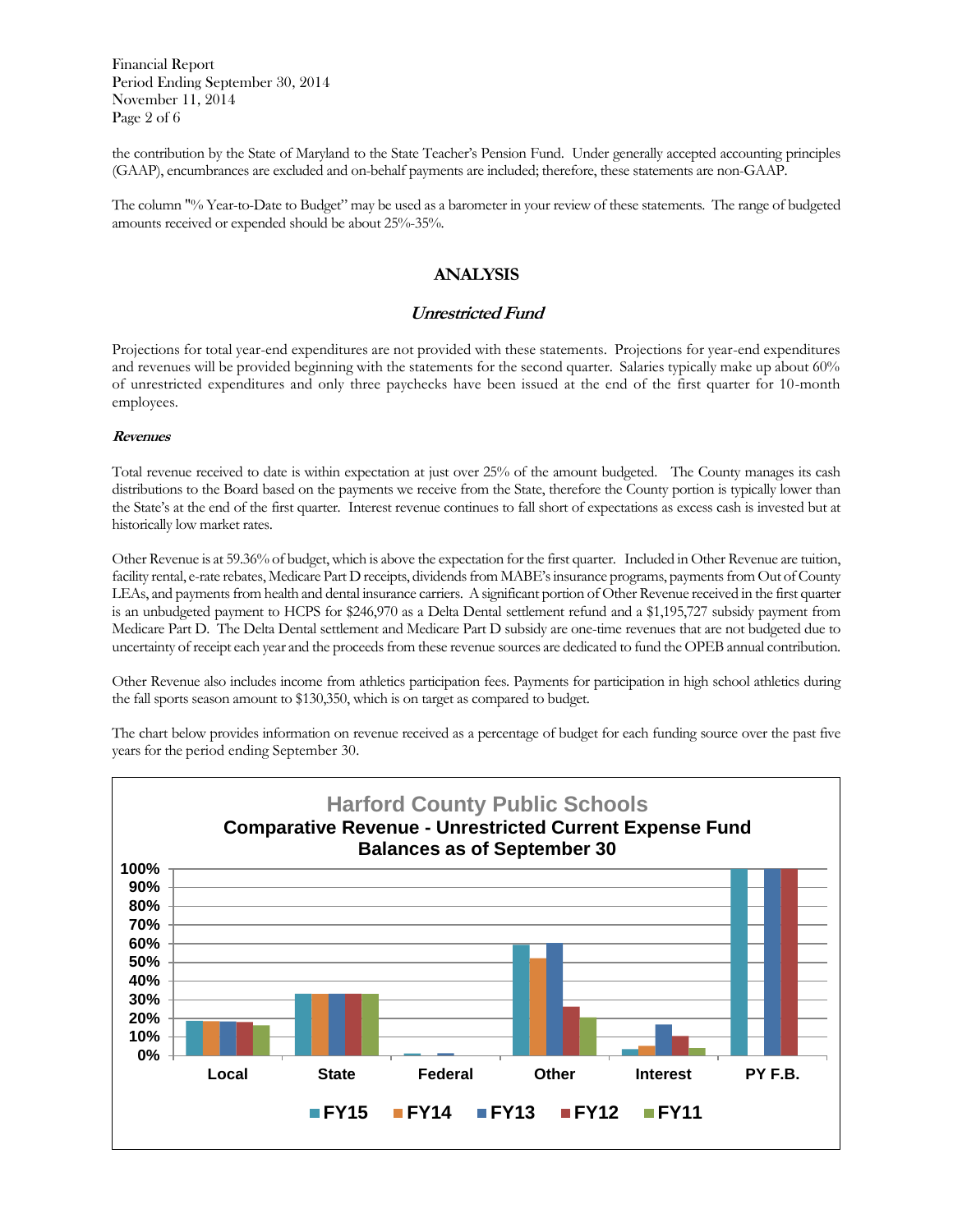Financial Report Period Ending September 30, 2014 November 11, 2014 Page 2 of 6

the contribution by the State of Maryland to the State Teacher's Pension Fund. Under generally accepted accounting principles (GAAP), encumbrances are excluded and on-behalf payments are included; therefore, these statements are non-GAAP.

The column "% Year-to-Date to Budget" may be used as a barometer in your review of these statements. The range of budgeted amounts received or expended should be about 25%-35%.

### **ANALYSIS**

### **Unrestricted Fund**

Projections for total year-end expenditures are not provided with these statements. Projections for year-end expenditures and revenues will be provided beginning with the statements for the second quarter. Salaries typically make up about 60% of unrestricted expenditures and only three paychecks have been issued at the end of the first quarter for 10-month employees.

#### **Revenues**

Total revenue received to date is within expectation at just over 25% of the amount budgeted. The County manages its cash distributions to the Board based on the payments we receive from the State, therefore the County portion is typically lower than the State's at the end of the first quarter. Interest revenue continues to fall short of expectations as excess cash is invested but at historically low market rates.

Other Revenue is at 59.36% of budget, which is above the expectation for the first quarter. Included in Other Revenue are tuition, facility rental, e-rate rebates, Medicare Part D receipts, dividends from MABE's insurance programs, payments from Out of County LEAs, and payments from health and dental insurance carriers. A significant portion of Other Revenue received in the first quarter is an unbudgeted payment to HCPS for \$246,970 as a Delta Dental settlement refund and a \$1,195,727 subsidy payment from Medicare Part D. The Delta Dental settlement and Medicare Part D subsidy are one-time revenues that are not budgeted due to uncertainty of receipt each year and the proceeds from these revenue sources are dedicated to fund the OPEB annual contribution.

Other Revenue also includes income from athletics participation fees. Payments for participation in high school athletics during the fall sports season amount to \$130,350, which is on target as compared to budget.

The chart below provides information on revenue received as a percentage of budget for each funding source over the past five years for the period ending September 30.

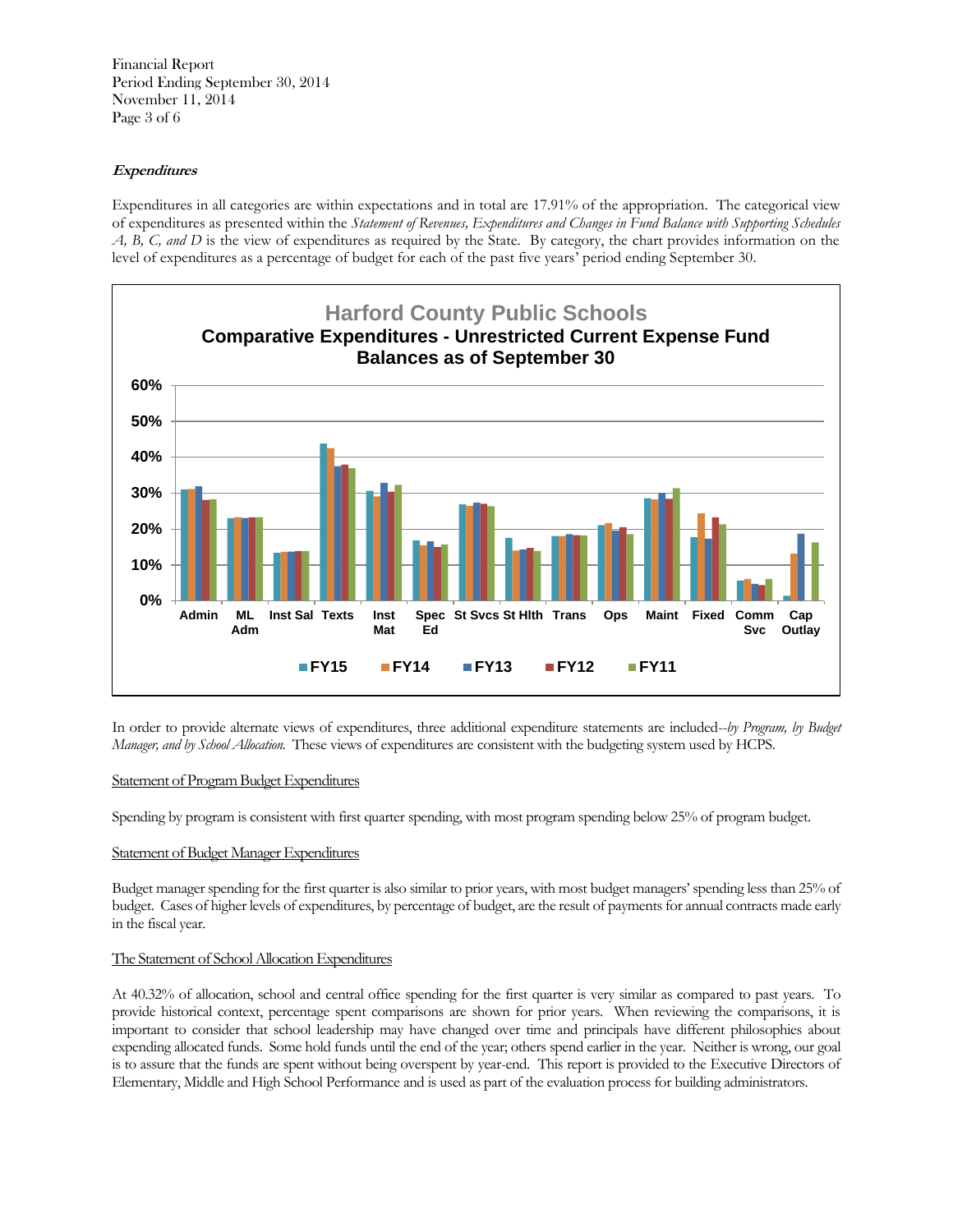Financial Report Period Ending September 30, 2014 November 11, 2014 Page 3 of 6

### **Expenditures**

Expenditures in all categories are within expectations and in total are 17.91% of the appropriation. The categorical view of expenditures as presented within the *Statement of Revenues, Expenditures and Changes in Fund Balance with Supporting Schedules A, B, C, and D* is the view of expenditures as required by the State. By category, the chart provides information on the level of expenditures as a percentage of budget for each of the past five years' period ending September 30.



In order to provide alternate views of expenditures, three additional expenditure statements are included--*by Program, by Budget Manager, and by School Allocation*. These views of expenditures are consistent with the budgeting system used by HCPS.

#### Statement of Program Budget Expenditures

Spending by program is consistent with first quarter spending, with most program spending below 25% of program budget.

### Statement of Budget Manager Expenditures

Budget manager spending for the first quarter is also similar to prior years, with most budget managers' spending less than 25% of budget. Cases of higher levels of expenditures, by percentage of budget, are the result of payments for annual contracts made early in the fiscal year.

### The Statement of School Allocation Expenditures

At 40.32% of allocation, school and central office spending for the first quarter is very similar as compared to past years. To provide historical context, percentage spent comparisons are shown for prior years. When reviewing the comparisons, it is important to consider that school leadership may have changed over time and principals have different philosophies about expending allocated funds. Some hold funds until the end of the year; others spend earlier in the year. Neither is wrong, our goal is to assure that the funds are spent without being overspent by year-end. This report is provided to the Executive Directors of Elementary, Middle and High School Performance and is used as part of the evaluation process for building administrators.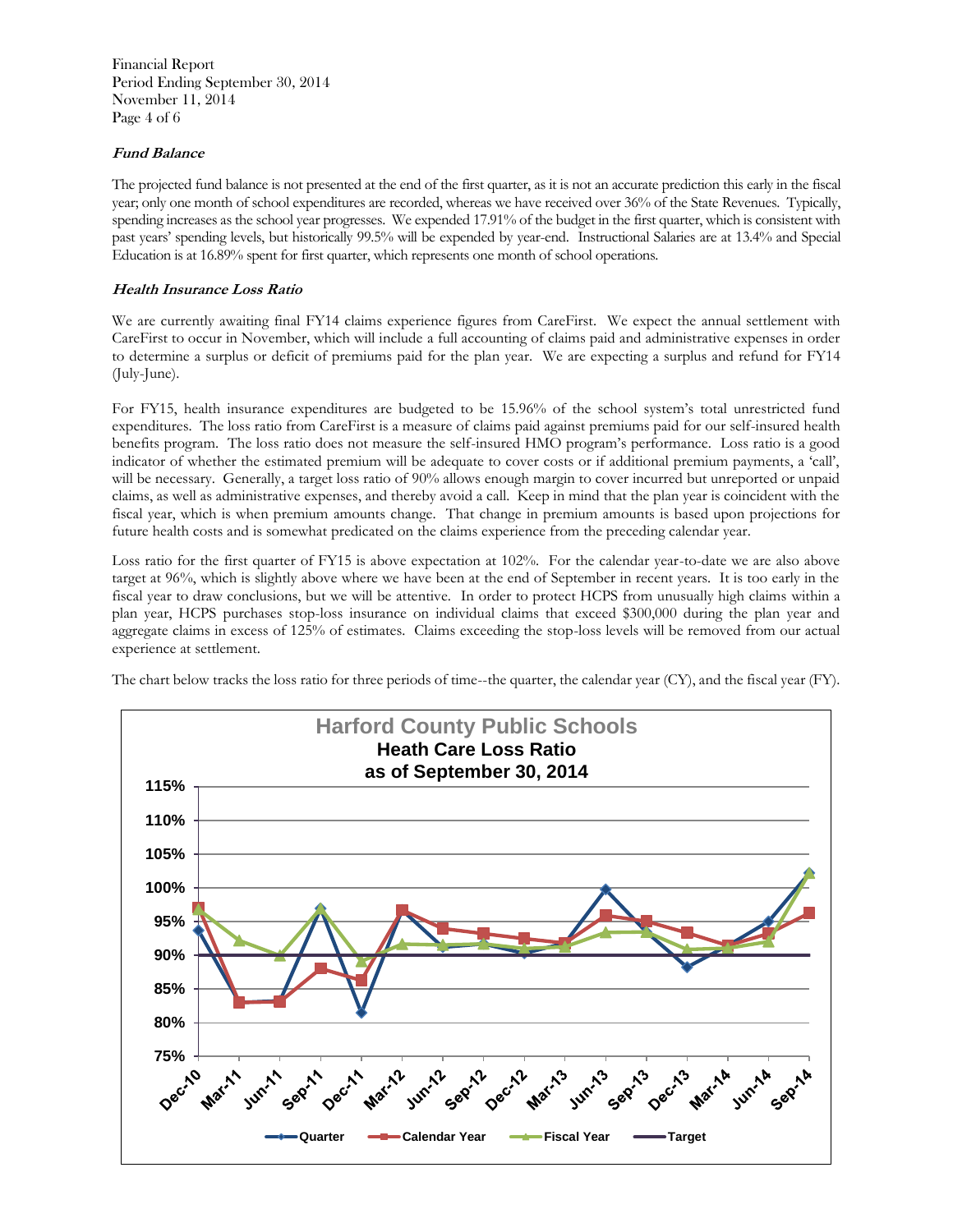Financial Report Period Ending September 30, 2014 November 11, 2014 Page 4 of 6

### **Fund Balance**

The projected fund balance is not presented at the end of the first quarter, as it is not an accurate prediction this early in the fiscal year; only one month of school expenditures are recorded, whereas we have received over 36% of the State Revenues. Typically, spending increases as the school year progresses. We expended 17.91% of the budget in the first quarter, which is consistent with past years' spending levels, but historically 99.5% will be expended by year-end. Instructional Salaries are at 13.4% and Special Education is at 16.89% spent for first quarter, which represents one month of school operations.

### **Health Insurance Loss Ratio**

We are currently awaiting final FY14 claims experience figures from CareFirst. We expect the annual settlement with CareFirst to occur in November, which will include a full accounting of claims paid and administrative expenses in order to determine a surplus or deficit of premiums paid for the plan year. We are expecting a surplus and refund for FY14 (July-June).

For FY15, health insurance expenditures are budgeted to be 15.96% of the school system's total unrestricted fund expenditures. The loss ratio from CareFirst is a measure of claims paid against premiums paid for our self-insured health benefits program. The loss ratio does not measure the self-insured HMO program's performance. Loss ratio is a good indicator of whether the estimated premium will be adequate to cover costs or if additional premium payments, a 'call', will be necessary. Generally, a target loss ratio of 90% allows enough margin to cover incurred but unreported or unpaid claims, as well as administrative expenses, and thereby avoid a call. Keep in mind that the plan year is coincident with the fiscal year, which is when premium amounts change. That change in premium amounts is based upon projections for future health costs and is somewhat predicated on the claims experience from the preceding calendar year.

Loss ratio for the first quarter of FY15 is above expectation at 102%. For the calendar year-to-date we are also above target at 96%, which is slightly above where we have been at the end of September in recent years. It is too early in the fiscal year to draw conclusions, but we will be attentive. In order to protect HCPS from unusually high claims within a plan year, HCPS purchases stop-loss insurance on individual claims that exceed \$300,000 during the plan year and aggregate claims in excess of 125% of estimates. Claims exceeding the stop-loss levels will be removed from our actual experience at settlement.

The chart below tracks the loss ratio for three periods of time--the quarter, the calendar year (CY), and the fiscal year (FY).

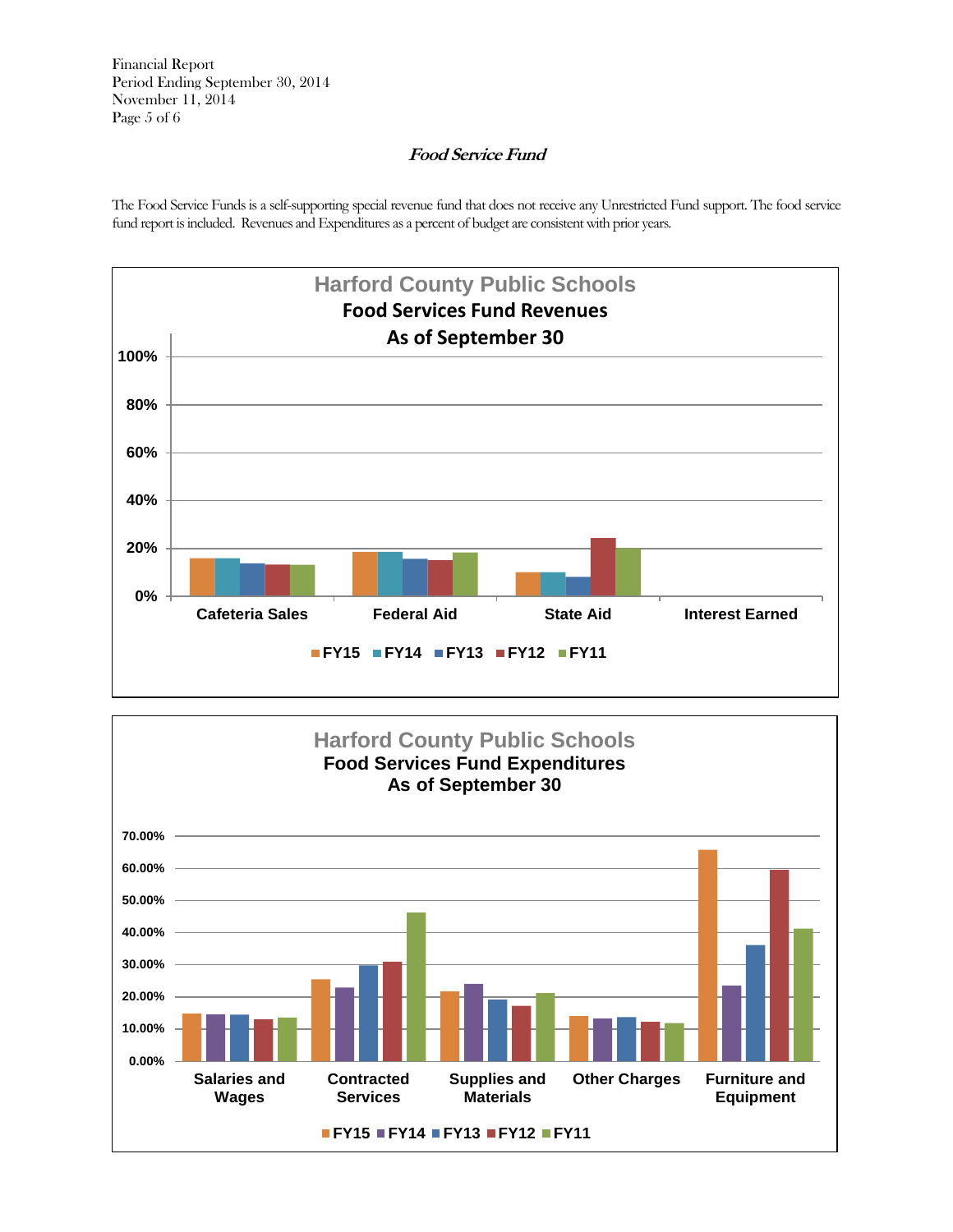Financial Report Period Ending September 30, 2014 November 11, 2014 Page 5 of 6

## **Food Service Fund**

The Food Service Funds is a self-supporting special revenue fund that does not receive any Unrestricted Fund support. The food service fund report is included. Revenues and Expenditures as a percent of budget are consistent with prior years.



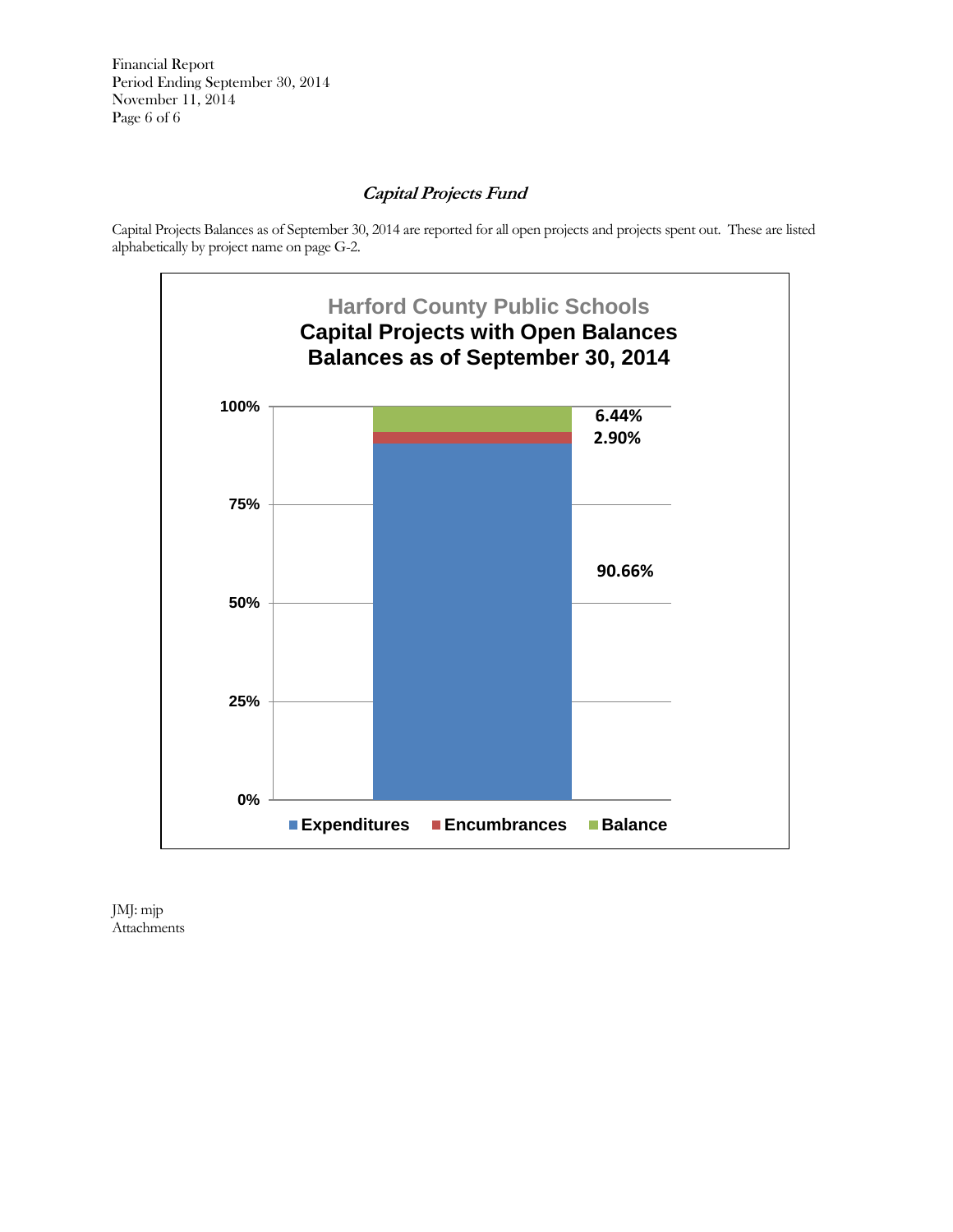Financial Report Period Ending September 30, 2014 November 11, 2014 Page 6 of 6

## **Capital Projects Fund**

Capital Projects Balances as of September 30, 2014 are reported for all open projects and projects spent out. These are listed alphabetically by project name on page G-2.



JMJ: mjp Attachments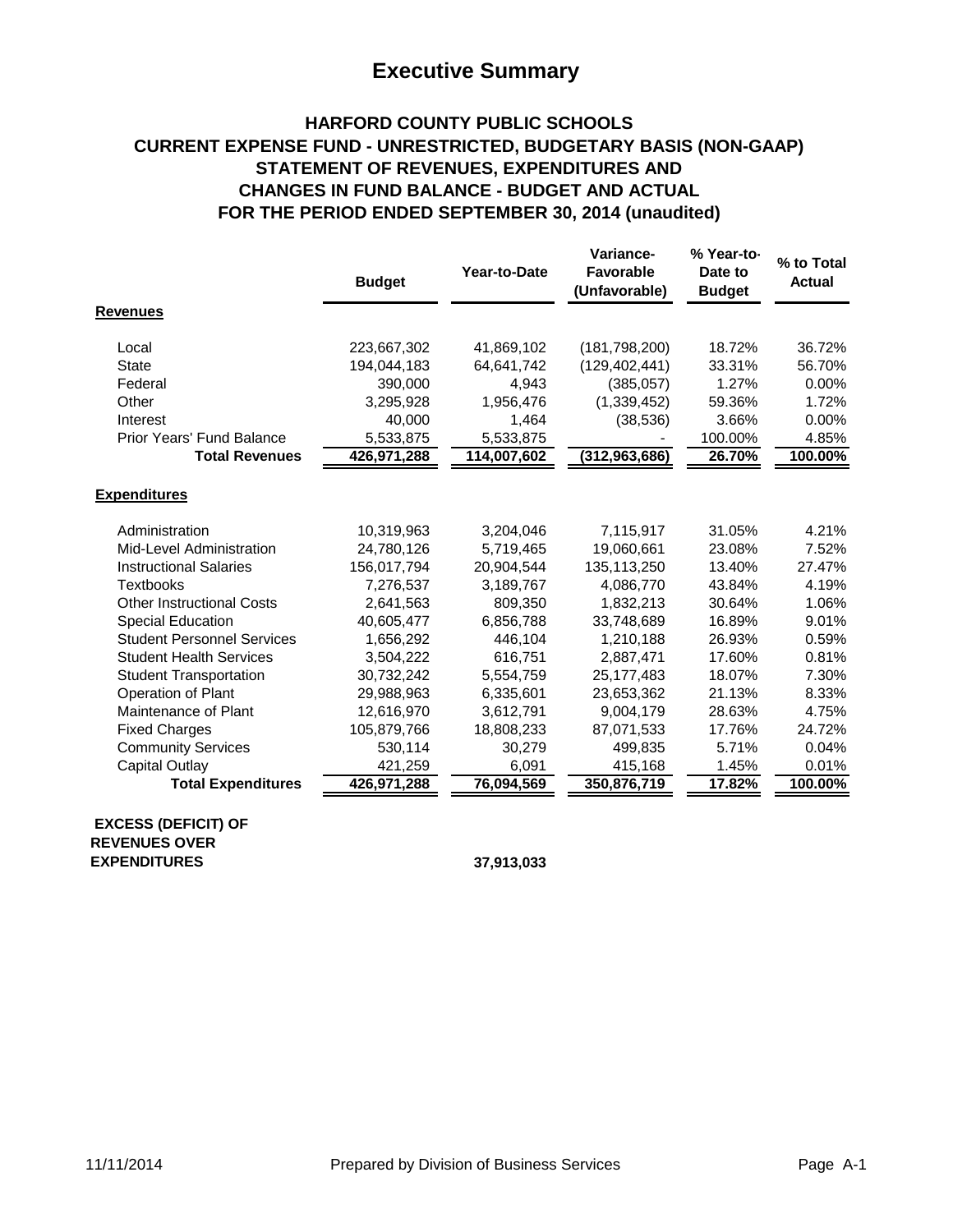# **Executive Summary**

## **HARFORD COUNTY PUBLIC SCHOOLS CURRENT EXPENSE FUND - UNRESTRICTED, BUDGETARY BASIS (NON-GAAP) STATEMENT OF REVENUES, EXPENDITURES AND CHANGES IN FUND BALANCE - BUDGET AND ACTUAL FOR THE PERIOD ENDED SEPTEMBER 30, 2014 (unaudited)**

|                                                                           | <b>Budget</b> | Year-to-Date | Variance-<br><b>Favorable</b><br>(Unfavorable) | % Year-to-<br>Date to<br><b>Budget</b> | % to Total<br><b>Actual</b> |
|---------------------------------------------------------------------------|---------------|--------------|------------------------------------------------|----------------------------------------|-----------------------------|
| <b>Revenues</b>                                                           |               |              |                                                |                                        |                             |
| Local                                                                     | 223,667,302   | 41,869,102   | (181, 798, 200)                                | 18.72%                                 | 36.72%                      |
| <b>State</b>                                                              | 194,044,183   | 64,641,742   | (129, 402, 441)                                | 33.31%                                 | 56.70%                      |
| Federal                                                                   | 390,000       | 4,943        | (385, 057)                                     | 1.27%                                  | 0.00%                       |
| Other                                                                     | 3,295,928     | 1,956,476    | (1,339,452)                                    | 59.36%                                 | 1.72%                       |
| Interest                                                                  | 40,000        | 1,464        | (38, 536)                                      | 3.66%                                  | 0.00%                       |
| Prior Years' Fund Balance                                                 | 5,533,875     | 5,533,875    |                                                | 100.00%                                | 4.85%                       |
| <b>Total Revenues</b>                                                     | 426,971,288   | 114,007,602  | (312, 963, 686)                                | 26.70%                                 | 100.00%                     |
| <b>Expenditures</b>                                                       |               |              |                                                |                                        |                             |
| Administration                                                            | 10,319,963    | 3,204,046    | 7,115,917                                      | 31.05%                                 | 4.21%                       |
| Mid-Level Administration                                                  | 24,780,126    | 5,719,465    | 19,060,661                                     | 23.08%                                 | 7.52%                       |
| <b>Instructional Salaries</b>                                             | 156,017,794   | 20,904,544   | 135, 113, 250                                  | 13.40%                                 | 27.47%                      |
| <b>Textbooks</b>                                                          | 7,276,537     | 3,189,767    | 4,086,770                                      | 43.84%                                 | 4.19%                       |
| <b>Other Instructional Costs</b>                                          | 2,641,563     | 809,350      | 1,832,213                                      | 30.64%                                 | 1.06%                       |
| <b>Special Education</b>                                                  | 40,605,477    | 6,856,788    | 33,748,689                                     | 16.89%                                 | 9.01%                       |
| <b>Student Personnel Services</b>                                         | 1,656,292     | 446,104      | 1,210,188                                      | 26.93%                                 | 0.59%                       |
| <b>Student Health Services</b>                                            | 3,504,222     | 616,751      | 2,887,471                                      | 17.60%                                 | 0.81%                       |
| <b>Student Transportation</b>                                             | 30,732,242    | 5,554,759    | 25, 177, 483                                   | 18.07%                                 | 7.30%                       |
| Operation of Plant                                                        | 29,988,963    | 6,335,601    | 23,653,362                                     | 21.13%                                 | 8.33%                       |
| Maintenance of Plant                                                      | 12,616,970    | 3,612,791    | 9,004,179                                      | 28.63%                                 | 4.75%                       |
| <b>Fixed Charges</b>                                                      | 105,879,766   | 18,808,233   | 87,071,533                                     | 17.76%                                 | 24.72%                      |
| <b>Community Services</b>                                                 | 530,114       | 30,279       | 499,835                                        | 5.71%                                  | 0.04%                       |
| Capital Outlay                                                            | 421,259       | 6,091        | 415,168                                        | 1.45%                                  | 0.01%                       |
| <b>Total Expenditures</b>                                                 | 426,971,288   | 76,094,569   | 350,876,719                                    | 17.82%                                 | 100.00%                     |
| <b>EXCESS (DEFICIT) OF</b><br><b>REVENUES OVER</b><br><b>EXPENDITURES</b> |               | 37.913.033   |                                                |                                        |                             |

 **37,913,033**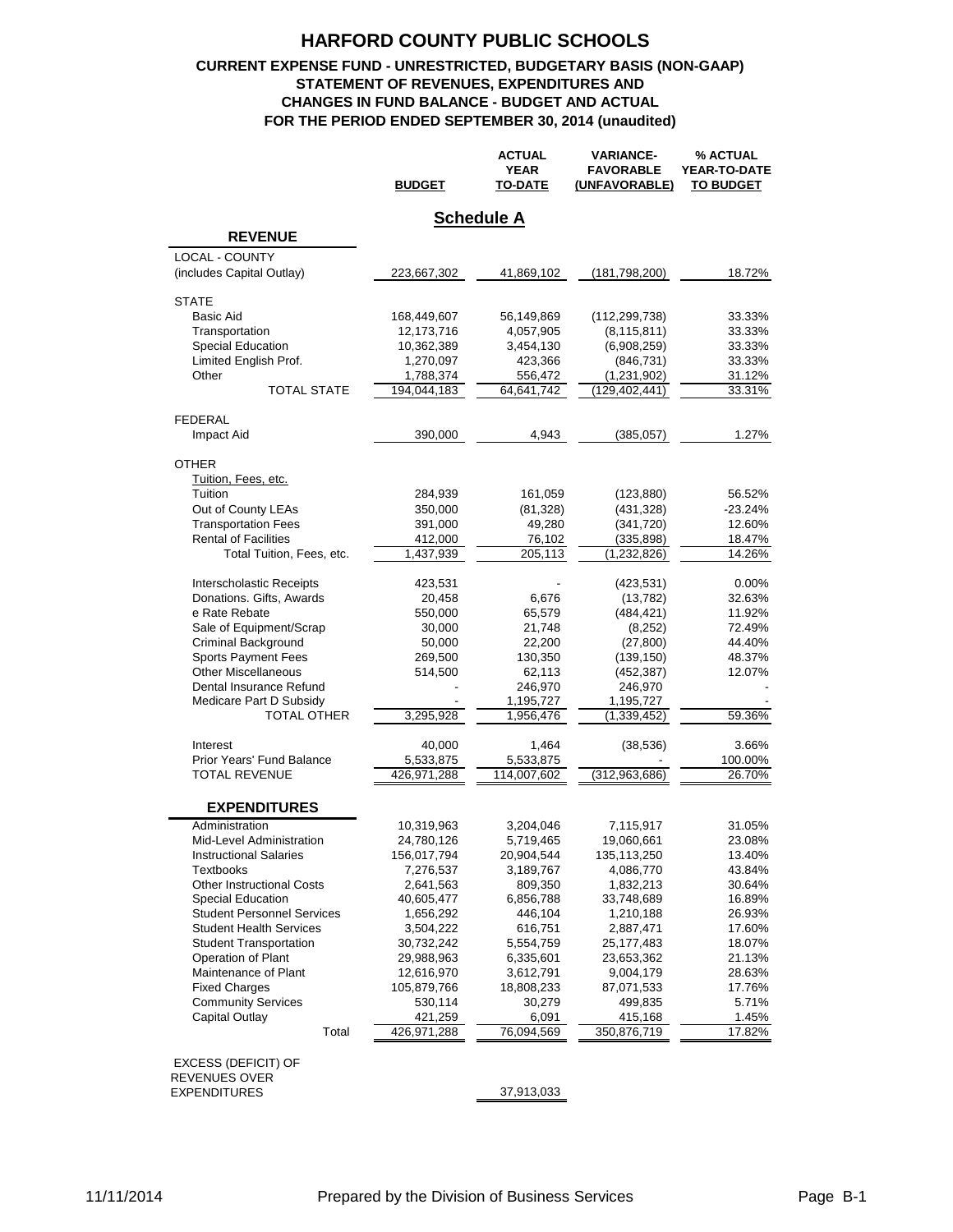### **CURRENT EXPENSE FUND - UNRESTRICTED, BUDGETARY BASIS (NON-GAAP) STATEMENT OF REVENUES, EXPENDITURES AND CHANGES IN FUND BALANCE - BUDGET AND ACTUAL FOR THE PERIOD ENDED SEPTEMBER 30, 2014 (unaudited)**

|                                   | <b>BUDGET</b> | <b>ACTUAL</b><br><b>YEAR</b><br><b>TO-DATE</b> | <b>VARIANCE-</b><br><b>FAVORABLE</b><br>(UNFAVORABLE) | % ACTUAL<br>YEAR-TO-DATE<br><b>TO BUDGET</b> |
|-----------------------------------|---------------|------------------------------------------------|-------------------------------------------------------|----------------------------------------------|
|                                   |               | <b>Schedule A</b>                              |                                                       |                                              |
| <b>REVENUE</b>                    |               |                                                |                                                       |                                              |
| <b>LOCAL - COUNTY</b>             |               |                                                |                                                       |                                              |
| (includes Capital Outlay)         | 223,667,302   | 41,869,102                                     | (181,798,200)                                         | 18.72%                                       |
| <b>STATE</b>                      |               |                                                |                                                       |                                              |
| <b>Basic Aid</b>                  | 168,449,607   | 56,149,869                                     | (112, 299, 738)                                       | 33.33%                                       |
| Transportation                    | 12,173,716    | 4,057,905                                      | (8, 115, 811)                                         | 33.33%                                       |
| <b>Special Education</b>          | 10,362,389    | 3,454,130                                      | (6,908,259)                                           | 33.33%                                       |
| Limited English Prof.             | 1,270,097     | 423,366                                        | (846, 731)                                            | 33.33%                                       |
| Other                             | 1,788,374     | 556,472                                        | (1,231,902)                                           | 31.12%                                       |
| <b>TOTAL STATE</b>                | 194,044,183   | 64,641,742                                     | (129, 402, 441)                                       | 33.31%                                       |
| FEDERAL                           |               |                                                |                                                       |                                              |
| Impact Aid                        | 390,000       | 4,943                                          | (385, 057)                                            | 1.27%                                        |
| <b>OTHER</b>                      |               |                                                |                                                       |                                              |
| Tuition, Fees, etc.               |               |                                                |                                                       |                                              |
| Tuition                           | 284,939       | 161,059                                        | (123, 880)                                            | 56.52%                                       |
| Out of County LEAs                | 350,000       | (81, 328)                                      | (431, 328)                                            | $-23.24%$                                    |
| <b>Transportation Fees</b>        | 391,000       | 49,280                                         | (341, 720)                                            | 12.60%                                       |
| <b>Rental of Facilities</b>       | 412,000       | 76,102                                         | (335, 898)                                            | 18.47%                                       |
| Total Tuition, Fees, etc.         | 1,437,939     | 205,113                                        | (1,232,826)                                           | 14.26%                                       |
| Interscholastic Receipts          | 423,531       |                                                | (423, 531)                                            | $0.00\%$                                     |
| Donations. Gifts, Awards          | 20,458        | 6,676                                          | (13, 782)                                             | 32.63%                                       |
| e Rate Rebate                     | 550,000       | 65,579                                         | (484, 421)                                            | 11.92%                                       |
| Sale of Equipment/Scrap           | 30,000        | 21,748                                         | (8,252)                                               | 72.49%                                       |
| <b>Criminal Background</b>        | 50,000        | 22,200                                         | (27, 800)                                             | 44.40%                                       |
| <b>Sports Payment Fees</b>        | 269,500       | 130,350                                        | (139, 150)                                            | 48.37%                                       |
| <b>Other Miscellaneous</b>        | 514,500       | 62,113                                         | (452, 387)                                            | 12.07%                                       |
| Dental Insurance Refund           |               | 246,970                                        | 246,970                                               |                                              |
| Medicare Part D Subsidy           |               | 1,195,727                                      | 1,195,727                                             |                                              |
| TOTAL OTHER                       | 3,295,928     | 1,956,476                                      | (1,339,452)                                           | 59.36%                                       |
| Interest                          | 40,000        | 1,464                                          | (38, 536)                                             | 3.66%                                        |
| Prior Years' Fund Balance         | 5,533,875     | 5,533,875                                      |                                                       | 100.00%                                      |
| <b>TOTAL REVENUE</b>              | 426,971,288   | 114,007,602                                    | (312, 963, 686)                                       | 26.70%                                       |
| <b>EXPENDITURES</b>               |               |                                                |                                                       |                                              |
| Administration                    | 10,319,963    | 3,204,046                                      | 7,115,917                                             | 31.05%                                       |
| Mid-Level Administration          | 24,780,126    | 5,719,465                                      | 19,060,661                                            | 23.08%                                       |
| <b>Instructional Salaries</b>     | 156,017,794   | 20,904,544                                     | 135,113,250                                           | 13.40%                                       |
| <b>Textbooks</b>                  | 7,276,537     | 3,189,767                                      | 4,086,770                                             | 43.84%                                       |
| <b>Other Instructional Costs</b>  | 2,641,563     | 809,350                                        | 1,832,213                                             | 30.64%                                       |
| <b>Special Education</b>          | 40,605,477    | 6,856,788                                      | 33,748,689                                            | 16.89%                                       |
| <b>Student Personnel Services</b> | 1,656,292     | 446,104                                        | 1,210,188                                             | 26.93%                                       |
| <b>Student Health Services</b>    | 3,504,222     | 616,751                                        | 2,887,471                                             | 17.60%                                       |
| <b>Student Transportation</b>     | 30,732,242    | 5,554,759                                      | 25,177,483                                            | 18.07%                                       |
| <b>Operation of Plant</b>         | 29,988,963    | 6,335,601                                      | 23,653,362                                            | 21.13%                                       |
| Maintenance of Plant              | 12,616,970    | 3,612,791                                      | 9,004,179                                             | 28.63%                                       |
| <b>Fixed Charges</b>              | 105,879,766   | 18,808,233                                     | 87,071,533                                            | 17.76%                                       |
| <b>Community Services</b>         | 530,114       | 30,279                                         | 499,835                                               | 5.71%                                        |
| Capital Outlay                    | 421,259       | 6,091                                          | 415,168                                               | 1.45%                                        |
| Total                             | 426,971,288   | 76,094,569                                     | 350,876,719                                           | 17.82%                                       |
| <b>EXCESS (DEFICIT) OF</b>        |               |                                                |                                                       |                                              |

REVENUES OVER EXPENDITURES

#### 37,913,033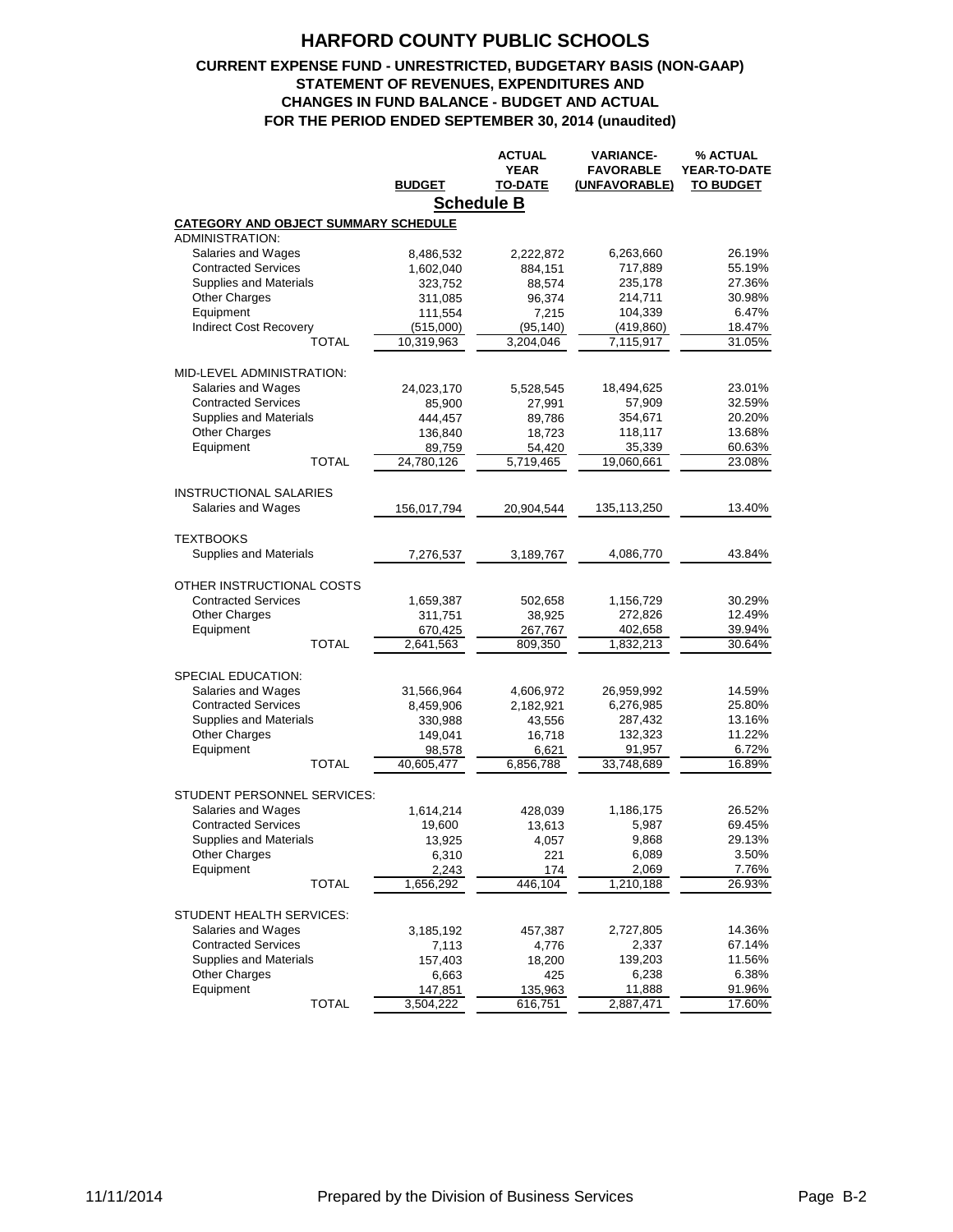### **CURRENT EXPENSE FUND - UNRESTRICTED, BUDGETARY BASIS (NON-GAAP) STATEMENT OF REVENUES, EXPENDITURES AND CHANGES IN FUND BALANCE - BUDGET AND ACTUAL FOR THE PERIOD ENDED SEPTEMBER 30, 2014 (unaudited)**

|                                             |                   | <b>ACTUAL</b> | <b>VARIANCE-</b> | % ACTUAL            |
|---------------------------------------------|-------------------|---------------|------------------|---------------------|
|                                             |                   | <b>YEAR</b>   | <b>FAVORABLE</b> | <b>YEAR-TO-DATE</b> |
|                                             | <b>BUDGET</b>     | TO-DATE       | (UNFAVORABLE)    | <b>TO BUDGET</b>    |
|                                             | <b>Schedule B</b> |               |                  |                     |
|                                             |                   |               |                  |                     |
| <b>CATEGORY AND OBJECT SUMMARY SCHEDULE</b> |                   |               |                  |                     |
| <b>ADMINISTRATION:</b>                      |                   |               |                  |                     |
| Salaries and Wages                          | 8,486,532         | 2,222,872     | 6,263,660        | 26.19%              |
| <b>Contracted Services</b>                  | 1,602,040         | 884,151       | 717,889          | 55.19%              |
| <b>Supplies and Materials</b>               | 323,752           | 88,574        | 235,178          | 27.36%              |
| Other Charges                               | 311,085           | 96,374        | 214,711          | 30.98%              |
| Equipment                                   | 111,554           | 7,215         | 104,339          | 6.47%               |
| <b>Indirect Cost Recovery</b>               | (515,000)         | (95, 140)     | (419,860)        | 18.47%              |
| <b>TOTAL</b>                                | 10,319,963        | 3,204,046     | 7,115,917        | 31.05%              |
|                                             |                   |               |                  |                     |
| MID-LEVEL ADMINISTRATION:                   |                   |               |                  |                     |
| Salaries and Wages                          | 24,023,170        | 5,528,545     | 18,494,625       | 23.01%              |
| <b>Contracted Services</b>                  | 85,900            | 27,991        | 57,909           | 32.59%              |
| <b>Supplies and Materials</b>               | 444,457           | 89,786        | 354,671          | 20.20%              |
| <b>Other Charges</b>                        | 136,840           | 18,723        | 118,117          | 13.68%              |
| Equipment                                   | 89,759            | 54,420        | 35,339           | 60.63%              |
| <b>TOTAL</b>                                | 24,780,126        | 5,719,465     | 19,060,661       | 23.08%              |
| <b>INSTRUCTIONAL SALARIES</b>               |                   |               |                  |                     |
| Salaries and Wages                          | 156,017,794       | 20,904,544    | 135,113,250      | 13.40%              |
|                                             |                   |               |                  |                     |
| <b>TEXTBOOKS</b>                            |                   |               |                  |                     |
| Supplies and Materials                      | 7,276,537         | 3,189,767     | 4,086,770        | 43.84%              |
|                                             |                   |               |                  |                     |
| OTHER INSTRUCTIONAL COSTS                   |                   |               |                  |                     |
| <b>Contracted Services</b>                  | 1,659,387         | 502,658       | 1,156,729        | 30.29%              |
| <b>Other Charges</b>                        | 311,751           | 38,925        | 272,826          | 12.49%              |
| Equipment                                   | 670,425           | 267,767       | 402,658          | 39.94%              |
| <b>TOTAL</b>                                | 2,641,563         | 809,350       | 1,832,213        | 30.64%              |
|                                             |                   |               |                  |                     |
| SPECIAL EDUCATION:                          |                   |               |                  |                     |
| Salaries and Wages                          | 31,566,964        | 4,606,972     | 26,959,992       | 14.59%              |
| <b>Contracted Services</b>                  | 8,459,906         | 2,182,921     | 6,276,985        | 25.80%              |
| <b>Supplies and Materials</b>               | 330,988           | 43,556        | 287,432          | 13.16%              |
| <b>Other Charges</b>                        | 149,041           | 16,718        | 132,323          | 11.22%              |
| Equipment                                   | 98,578            | 6,621         | 91,957           | 6.72%               |
| <b>TOTAL</b>                                | 40,605,477        | 6,856,788     | 33,748,689       | 16.89%              |
|                                             |                   |               |                  |                     |
| STUDENT PERSONNEL SERVICES:                 |                   |               |                  |                     |
| Salaries and Wages                          | 1,614,214         | 428,039       | 1,186,175        | 26.52%              |
| <b>Contracted Services</b>                  | 19,600            | 13,613        | 5,987            | 69.45%              |
| Supplies and Materials                      | 13,925            | 4,057         | 9,868            | 29.13%              |
| <b>Other Charges</b>                        | 6,310             | 221           | 6,089            | 3.50%               |
| Equipment                                   | 2,243             | 174           | 2,069            | 7.76%               |
| <b>TOTAL</b>                                | 1,656,292         | 446,104       | 1,210,188        | 26.93%              |
|                                             |                   |               |                  |                     |
| STUDENT HEALTH SERVICES:                    |                   |               |                  |                     |
| Salaries and Wages                          | 3,185,192         | 457,387       | 2,727,805        | 14.36%              |
| <b>Contracted Services</b>                  | 7,113             | 4,776         | 2,337            | 67.14%              |
| Supplies and Materials                      | 157,403           | 18,200        | 139,203          | 11.56%              |
| <b>Other Charges</b>                        | 6,663             | 425           | 6,238            | 6.38%               |
| Equipment                                   | 147,851           | 135,963       | 11,888           | 91.96%              |
| <b>TOTAL</b>                                | 3,504,222         | 616,751       | 2,887,471        | 17.60%              |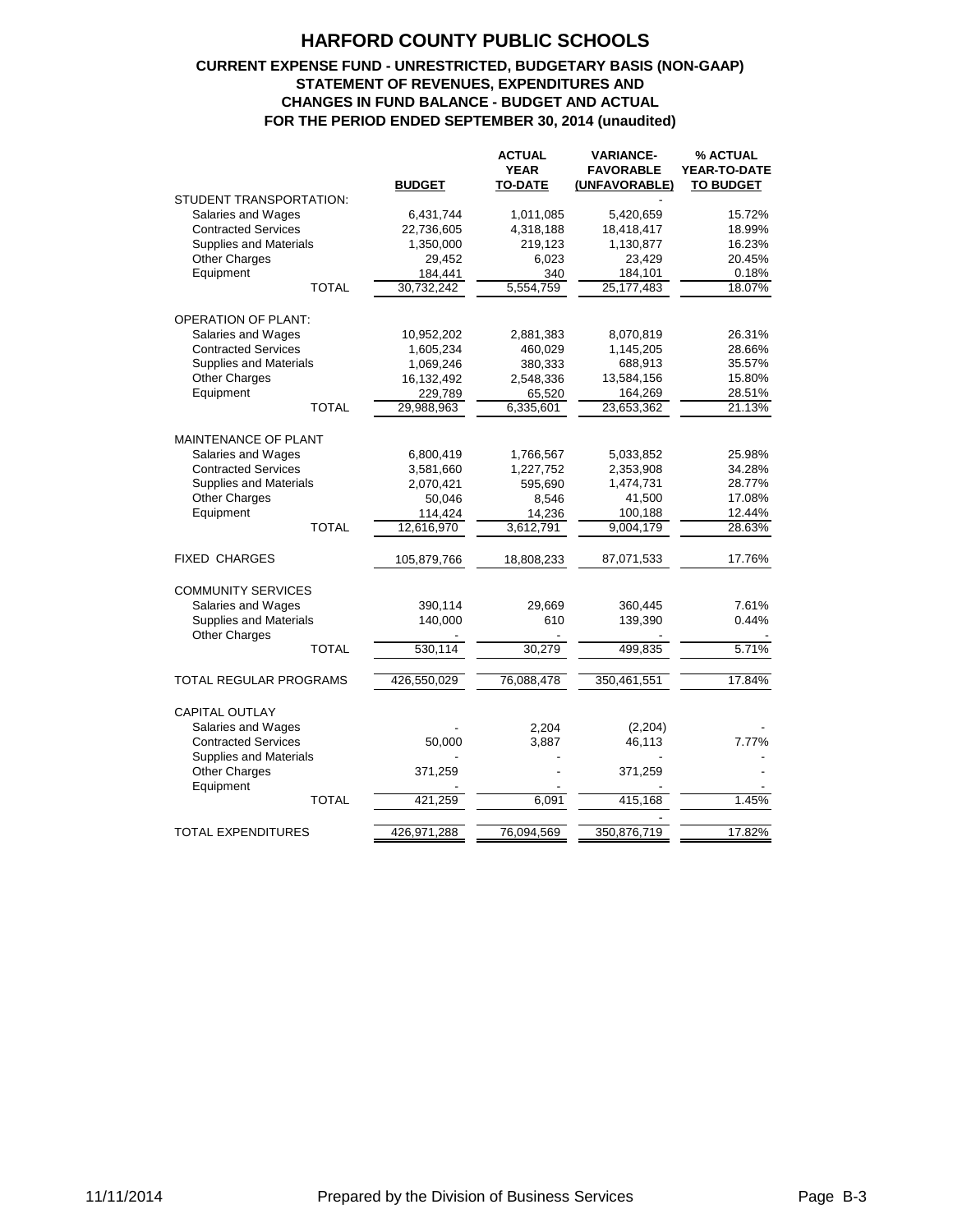### **CURRENT EXPENSE FUND - UNRESTRICTED, BUDGETARY BASIS (NON-GAAP) STATEMENT OF REVENUES, EXPENDITURES AND CHANGES IN FUND BALANCE - BUDGET AND ACTUAL FOR THE PERIOD ENDED SEPTEMBER 30, 2014 (unaudited)**

|                                                             | <b>BUDGET</b> | <b>ACTUAL</b><br><b>YEAR</b><br><b>TO-DATE</b> | <b>VARIANCE-</b><br><b>FAVORABLE</b><br>(UNFAVORABLE) | % ACTUAL<br>YEAR-TO-DATE<br><b>TO BUDGET</b> |
|-------------------------------------------------------------|---------------|------------------------------------------------|-------------------------------------------------------|----------------------------------------------|
| STUDENT TRANSPORTATION:                                     |               |                                                |                                                       |                                              |
| Salaries and Wages                                          | 6,431,744     | 1,011,085                                      | 5,420,659                                             | 15.72%                                       |
| <b>Contracted Services</b>                                  | 22,736,605    | 4,318,188                                      | 18,418,417                                            | 18.99%                                       |
| <b>Supplies and Materials</b>                               | 1,350,000     | 219,123                                        | 1,130,877                                             | 16.23%                                       |
| <b>Other Charges</b>                                        | 29,452        | 6,023                                          | 23,429                                                | 20.45%                                       |
| Equipment                                                   | 184,441       | 340                                            | 184,101                                               | 0.18%                                        |
| <b>TOTAL</b>                                                | 30,732,242    | 5,554,759                                      | 25,177,483                                            | 18.07%                                       |
| <b>OPERATION OF PLANT:</b>                                  |               |                                                |                                                       |                                              |
| Salaries and Wages                                          | 10,952,202    | 2,881,383                                      | 8,070,819                                             | 26.31%                                       |
| <b>Contracted Services</b>                                  | 1,605,234     | 460,029                                        | 1,145,205                                             | 28.66%                                       |
| <b>Supplies and Materials</b>                               | 1,069,246     | 380,333                                        | 688,913                                               | 35.57%                                       |
| Other Charges                                               | 16,132,492    | 2,548,336                                      | 13,584,156                                            | 15.80%                                       |
| Equipment                                                   | 229,789       | 65,520                                         | 164,269                                               | 28.51%                                       |
| <b>TOTAL</b>                                                | 29,988,963    | 6,335,601                                      | 23,653,362                                            | 21.13%                                       |
| MAINTENANCE OF PLANT                                        |               |                                                |                                                       |                                              |
| Salaries and Wages                                          | 6,800,419     | 1,766,567                                      | 5,033,852                                             | 25.98%                                       |
| <b>Contracted Services</b>                                  | 3,581,660     | 1,227,752                                      | 2,353,908                                             | 34.28%                                       |
| Supplies and Materials                                      | 2,070,421     | 595,690                                        | 1,474,731                                             | 28.77%                                       |
| <b>Other Charges</b>                                        | 50,046        | 8,546                                          | 41,500                                                | 17.08%                                       |
| Equipment                                                   | 114,424       | 14,236                                         | 100,188                                               | 12.44%                                       |
| <b>TOTAL</b>                                                | 12,616,970    | 3,612,791                                      | $\overline{9,004,179}$                                | 28.63%                                       |
| <b>FIXED CHARGES</b>                                        | 105,879,766   | 18,808,233                                     | 87,071,533                                            | 17.76%                                       |
| <b>COMMUNITY SERVICES</b>                                   |               |                                                |                                                       |                                              |
| Salaries and Wages                                          | 390,114       | 29,669                                         | 360,445                                               | 7.61%                                        |
| Supplies and Materials                                      | 140,000       | 610                                            | 139,390                                               | 0.44%                                        |
| <b>Other Charges</b>                                        |               |                                                |                                                       |                                              |
| <b>TOTAL</b>                                                | 530,114       | 30,279                                         | 499,835                                               | 5.71%                                        |
| <b>TOTAL REGULAR PROGRAMS</b>                               | 426,550,029   | 76,088,478                                     | 350,461,551                                           | 17.84%                                       |
| <b>CAPITAL OUTLAY</b>                                       |               |                                                |                                                       |                                              |
| Salaries and Wages                                          |               | 2,204                                          | (2,204)                                               |                                              |
| <b>Contracted Services</b><br><b>Supplies and Materials</b> | 50,000        | 3,887                                          | 46,113                                                | 7.77%                                        |
| <b>Other Charges</b><br>Equipment                           | 371,259       |                                                | 371,259                                               |                                              |
| <b>TOTAL</b>                                                | 421,259       | 6,091                                          | 415,168                                               | 1.45%                                        |
| <b>TOTAL EXPENDITURES</b>                                   | 426,971,288   | 76,094,569                                     | 350,876,719                                           | 17.82%                                       |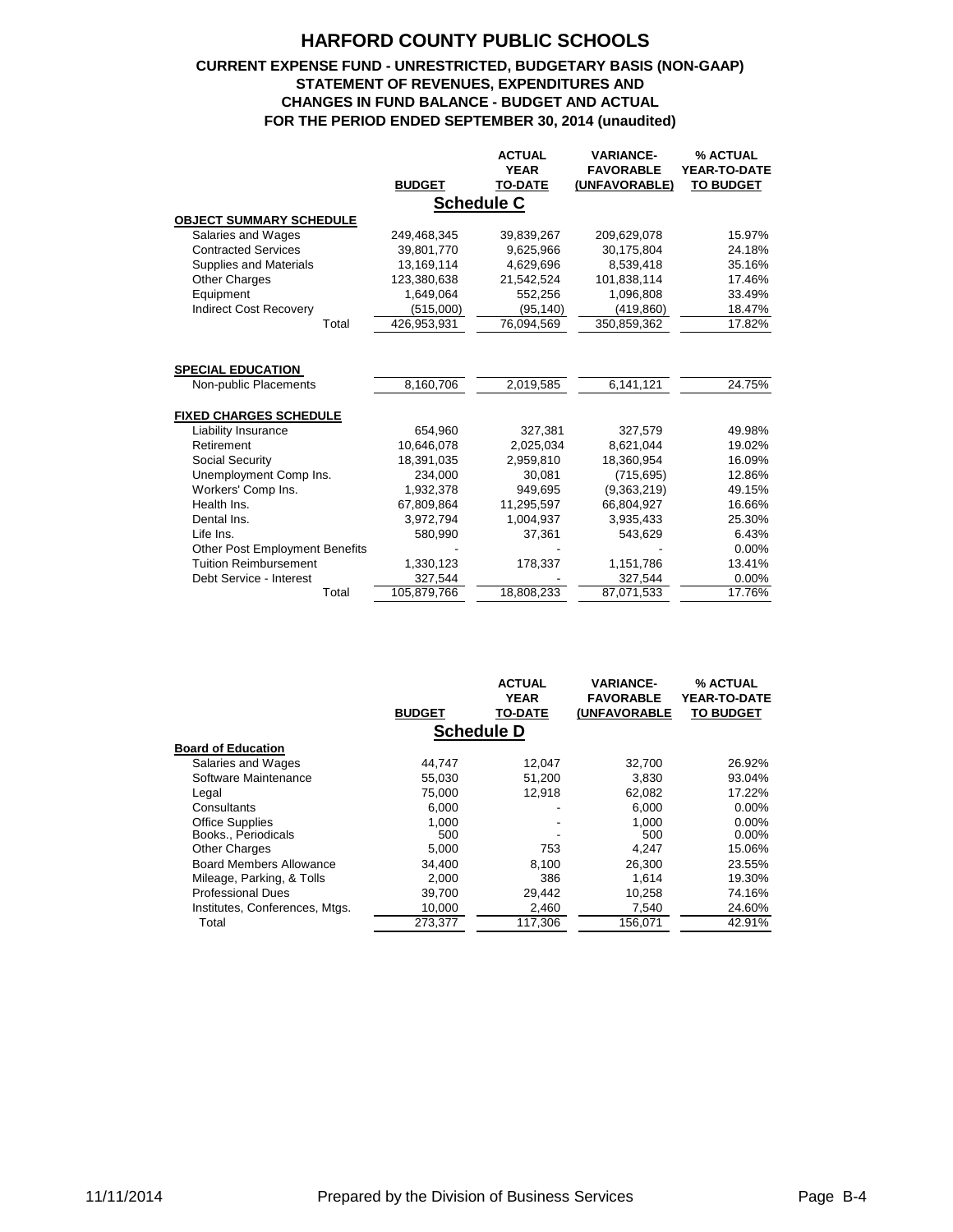### **CURRENT EXPENSE FUND - UNRESTRICTED, BUDGETARY BASIS (NON-GAAP) STATEMENT OF REVENUES, EXPENDITURES AND CHANGES IN FUND BALANCE - BUDGET AND ACTUAL FOR THE PERIOD ENDED SEPTEMBER 30, 2014 (unaudited)**

|                                       |               | <b>ACTUAL</b>     | <b>VARIANCE-</b> | % ACTUAL            |
|---------------------------------------|---------------|-------------------|------------------|---------------------|
|                                       |               | <b>YEAR</b>       | <b>FAVORABLE</b> | <b>YEAR-TO-DATE</b> |
|                                       | <b>BUDGET</b> | <b>TO-DATE</b>    | (UNFAVORABLE)    | <b>TO BUDGET</b>    |
|                                       |               | <b>Schedule C</b> |                  |                     |
| <b>OBJECT SUMMARY SCHEDULE</b>        |               |                   |                  |                     |
| Salaries and Wages                    | 249.468.345   | 39,839,267        | 209,629,078      | 15.97%              |
| <b>Contracted Services</b>            | 39,801,770    | 9,625,966         | 30,175,804       | 24.18%              |
| Supplies and Materials                | 13,169,114    | 4,629,696         | 8,539,418        | 35.16%              |
| <b>Other Charges</b>                  | 123,380,638   | 21,542,524        | 101,838,114      | 17.46%              |
| Equipment                             | 1,649,064     | 552,256           | 1,096,808        | 33.49%              |
| <b>Indirect Cost Recovery</b>         | (515,000)     | (95, 140)         | (419,860)        | 18.47%              |
| Total                                 | 426,953,931   | 76,094,569        | 350,859,362      | 17.82%              |
|                                       |               |                   |                  |                     |
|                                       |               |                   |                  |                     |
| <b>SPECIAL EDUCATION</b>              |               |                   |                  |                     |
| Non-public Placements                 | 8,160,706     | 2,019,585         | 6,141,121        | 24.75%              |
|                                       |               |                   |                  |                     |
| <b>FIXED CHARGES SCHEDULE</b>         |               |                   |                  |                     |
| Liability Insurance                   | 654,960       | 327,381           | 327,579          | 49.98%              |
| Retirement                            | 10.646.078    | 2.025.034         | 8,621,044        | 19.02%              |
| Social Security                       | 18,391,035    | 2,959,810         | 18,360,954       | 16.09%              |
| Unemployment Comp Ins.                | 234.000       | 30.081            | (715, 695)       | 12.86%              |
| Workers' Comp Ins.                    | 1,932,378     | 949.695           | (9,363,219)      | 49.15%              |
| Health Ins.                           | 67,809,864    | 11,295,597        | 66,804,927       | 16.66%              |
| Dental Ins.                           | 3,972,794     | 1,004,937         | 3,935,433        | 25.30%              |
| Life Ins.                             | 580,990       | 37,361            | 543,629          | 6.43%               |
| <b>Other Post Employment Benefits</b> |               |                   |                  | 0.00%               |
| <b>Tuition Reimbursement</b>          | 1,330,123     | 178,337           | 1,151,786        | 13.41%              |
| Debt Service - Interest               | 327,544       |                   | 327,544          | 0.00%               |
| Total                                 | 105,879,766   | 18,808,233        | 87,071,533       | 17.76%              |

|                                | <b>BUDGET</b> | <b>ACTUAL</b><br><b>YEAR</b><br><b>TO-DATE</b> | <b>VARIANCE-</b><br><b>FAVORABLE</b><br>(UNFAVORABLE | % ACTUAL<br><b>YEAR-TO-DATE</b><br><b>TO BUDGET</b> |
|--------------------------------|---------------|------------------------------------------------|------------------------------------------------------|-----------------------------------------------------|
|                                |               | <b>Schedule D</b>                              |                                                      |                                                     |
| <b>Board of Education</b>      |               |                                                |                                                      |                                                     |
| Salaries and Wages             | 44.747        | 12,047                                         | 32.700                                               | 26.92%                                              |
| Software Maintenance           | 55,030        | 51,200                                         | 3,830                                                | 93.04%                                              |
| Legal                          | 75,000        | 12.918                                         | 62,082                                               | 17.22%                                              |
| Consultants                    | 6.000         |                                                | 6.000                                                | $0.00\%$                                            |
| <b>Office Supplies</b>         | 1.000         |                                                | 1,000                                                | $0.00\%$                                            |
| Books., Periodicals            | 500           |                                                | 500                                                  | $0.00\%$                                            |
| <b>Other Charges</b>           | 5,000         | 753                                            | 4.247                                                | 15.06%                                              |
| <b>Board Members Allowance</b> | 34.400        | 8.100                                          | 26,300                                               | 23.55%                                              |
| Mileage, Parking, & Tolls      | 2.000         | 386                                            | 1.614                                                | 19.30%                                              |
| <b>Professional Dues</b>       | 39.700        | 29.442                                         | 10.258                                               | 74.16%                                              |
| Institutes, Conferences, Mtgs. | 10.000        | 2,460                                          | 7.540                                                | 24.60%                                              |
| Total                          | 273,377       | 117,306                                        | 156,071                                              | 42.91%                                              |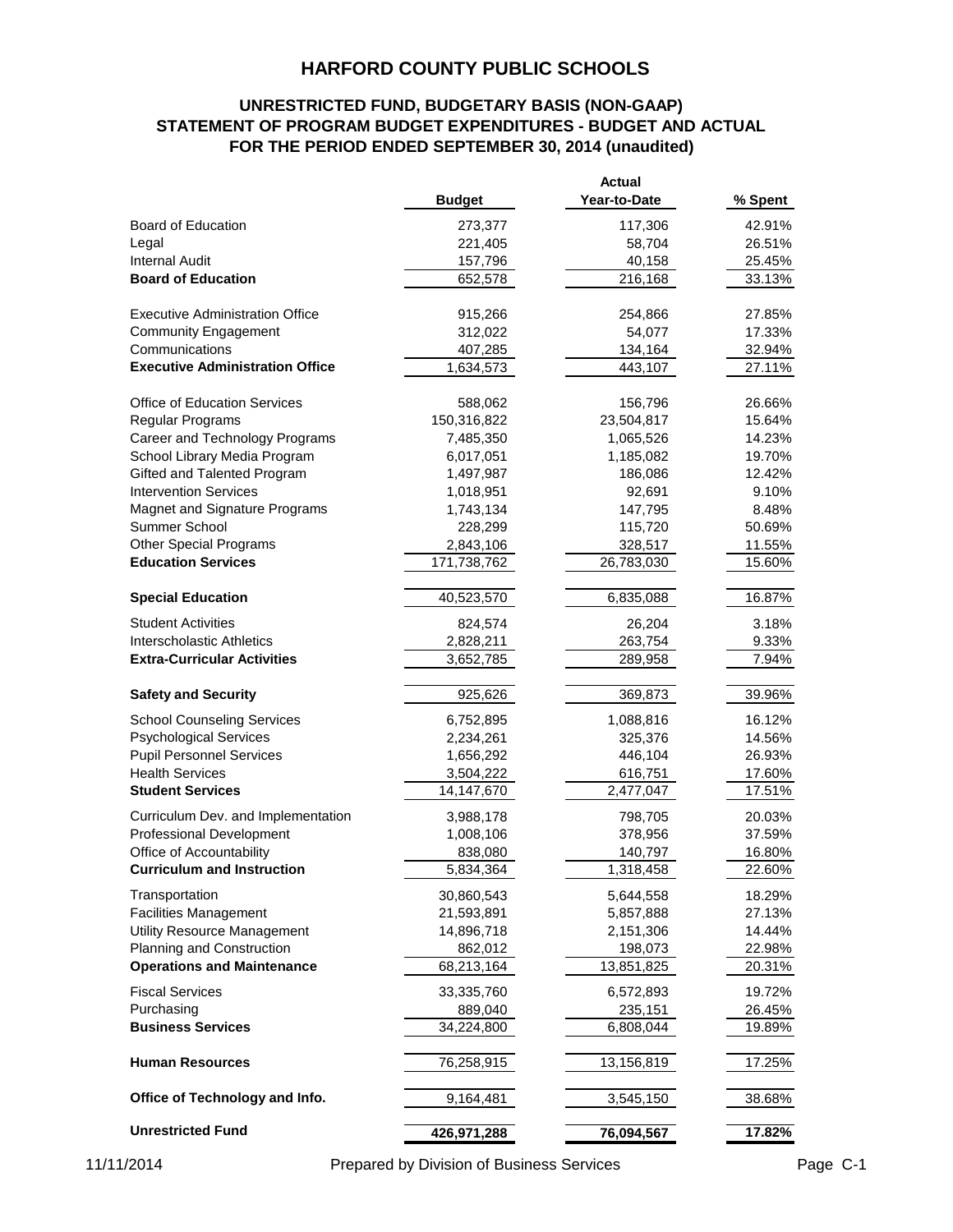## **UNRESTRICTED FUND, BUDGETARY BASIS (NON-GAAP) STATEMENT OF PROGRAM BUDGET EXPENDITURES - BUDGET AND ACTUAL FOR THE PERIOD ENDED SEPTEMBER 30, 2014 (unaudited)**

|                                        |               | <b>Actual</b> |         |
|----------------------------------------|---------------|---------------|---------|
|                                        | <b>Budget</b> | Year-to-Date  | % Spent |
| Board of Education                     | 273,377       | 117,306       | 42.91%  |
| Legal                                  | 221,405       | 58,704        | 26.51%  |
| Internal Audit                         | 157,796       | 40,158        | 25.45%  |
| <b>Board of Education</b>              | 652,578       | 216,168       | 33.13%  |
| <b>Executive Administration Office</b> | 915,266       | 254,866       | 27.85%  |
| <b>Community Engagement</b>            | 312,022       | 54,077        | 17.33%  |
| Communications                         | 407,285       | 134,164       | 32.94%  |
| <b>Executive Administration Office</b> | 1,634,573     | 443,107       | 27.11%  |
| <b>Office of Education Services</b>    | 588,062       | 156,796       | 26.66%  |
| Regular Programs                       | 150,316,822   | 23,504,817    | 15.64%  |
| Career and Technology Programs         | 7,485,350     | 1,065,526     | 14.23%  |
| School Library Media Program           | 6,017,051     | 1,185,082     | 19.70%  |
| Gifted and Talented Program            | 1,497,987     | 186,086       | 12.42%  |
| <b>Intervention Services</b>           | 1,018,951     | 92,691        | 9.10%   |
| Magnet and Signature Programs          | 1,743,134     | 147,795       | 8.48%   |
| Summer School                          | 228,299       | 115,720       | 50.69%  |
| <b>Other Special Programs</b>          | 2,843,106     | 328,517       | 11.55%  |
| <b>Education Services</b>              | 171,738,762   | 26,783,030    | 15.60%  |
| <b>Special Education</b>               | 40,523,570    | 6,835,088     | 16.87%  |
| <b>Student Activities</b>              | 824,574       | 26,204        | 3.18%   |
| <b>Interscholastic Athletics</b>       | 2,828,211     | 263,754       | 9.33%   |
| <b>Extra-Curricular Activities</b>     | 3,652,785     | 289,958       | 7.94%   |
| <b>Safety and Security</b>             | 925,626       | 369,873       | 39.96%  |
| <b>School Counseling Services</b>      | 6,752,895     | 1,088,816     | 16.12%  |
| <b>Psychological Services</b>          | 2,234,261     | 325,376       | 14.56%  |
| <b>Pupil Personnel Services</b>        | 1,656,292     | 446,104       | 26.93%  |
| <b>Health Services</b>                 | 3,504,222     | 616,751       | 17.60%  |
| <b>Student Services</b>                | 14,147,670    | 2,477,047     | 17.51%  |
| Curriculum Dev. and Implementation     | 3,988,178     | 798,705       | 20.03%  |
| <b>Professional Development</b>        | 1,008,106     | 378,956       | 37.59%  |
| Office of Accountability               | 838,080       | 140,797       | 16.80%  |
| <b>Curriculum and Instruction</b>      | 5,834,364     | 1,318,458     | 22.60%  |
| Transportation                         | 30,860,543    | 5,644,558     | 18.29%  |
| <b>Facilities Management</b>           | 21,593,891    | 5,857,888     | 27.13%  |
| <b>Utility Resource Management</b>     | 14,896,718    | 2,151,306     | 14.44%  |
| Planning and Construction              | 862,012       | 198,073       | 22.98%  |
| <b>Operations and Maintenance</b>      | 68,213,164    | 13,851,825    | 20.31%  |
| <b>Fiscal Services</b>                 | 33,335,760    | 6,572,893     | 19.72%  |
| Purchasing                             | 889,040       | 235,151       | 26.45%  |
| <b>Business Services</b>               | 34,224,800    | 6,808,044     | 19.89%  |
| <b>Human Resources</b>                 | 76,258,915    | 13,156,819    | 17.25%  |
| Office of Technology and Info.         | 9,164,481     | 3,545,150     | 38.68%  |
| <b>Unrestricted Fund</b>               | 426,971,288   | 76,094,567    | 17.82%  |

11/11/2014 Prepared by Division of Business Services Page C-1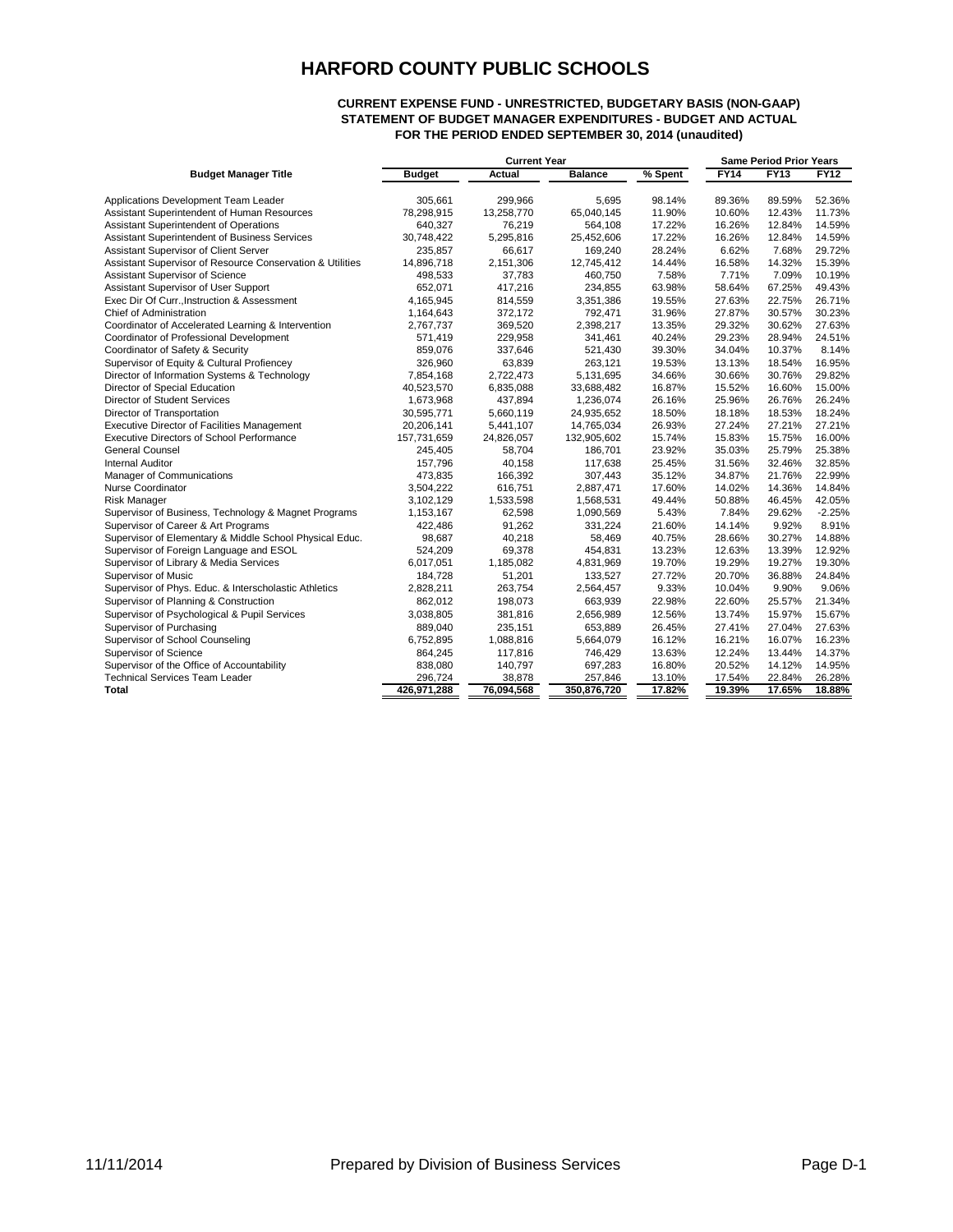#### **CURRENT EXPENSE FUND - UNRESTRICTED, BUDGETARY BASIS (NON-GAAP) STATEMENT OF BUDGET MANAGER EXPENDITURES - BUDGET AND ACTUAL FOR THE PERIOD ENDED SEPTEMBER 30, 2014 (unaudited)**

|                                                           | <b>Current Year</b> |            |                |         |             | <b>Same Period Prior Years</b> |             |
|-----------------------------------------------------------|---------------------|------------|----------------|---------|-------------|--------------------------------|-------------|
| <b>Budget Manager Title</b>                               | <b>Budget</b>       | Actual     | <b>Balance</b> | % Spent | <b>FY14</b> | FY13                           | <b>FY12</b> |
| Applications Development Team Leader                      | 305,661             | 299,966    | 5,695          | 98.14%  | 89.36%      | 89.59%                         | 52.36%      |
| Assistant Superintendent of Human Resources               | 78,298,915          | 13,258,770 | 65,040,145     | 11.90%  | 10.60%      | 12.43%                         | 11.73%      |
| Assistant Superintendent of Operations                    | 640,327             | 76,219     | 564,108        | 17.22%  | 16.26%      | 12.84%                         | 14.59%      |
| Assistant Superintendent of Business Services             | 30,748,422          | 5,295,816  | 25,452,606     | 17.22%  | 16.26%      | 12.84%                         | 14.59%      |
| Assistant Supervisor of Client Server                     | 235,857             | 66,617     | 169,240        | 28.24%  | 6.62%       | 7.68%                          | 29.72%      |
| Assistant Supervisor of Resource Conservation & Utilities | 14,896,718          | 2,151,306  | 12,745,412     | 14.44%  | 16.58%      | 14.32%                         | 15.39%      |
| Assistant Supervisor of Science                           | 498,533             | 37,783     | 460,750        | 7.58%   | 7.71%       | 7.09%                          | 10.19%      |
| Assistant Supervisor of User Support                      | 652,071             | 417,216    | 234,855        | 63.98%  | 58.64%      | 67.25%                         | 49.43%      |
| Exec Dir Of Curr., Instruction & Assessment               | 4,165,945           | 814,559    | 3,351,386      | 19.55%  | 27.63%      | 22.75%                         | 26.71%      |
| <b>Chief of Administration</b>                            | 1,164,643           | 372,172    | 792,471        | 31.96%  | 27.87%      | 30.57%                         | 30.23%      |
| Coordinator of Accelerated Learning & Intervention        | 2,767,737           | 369,520    | 2,398,217      | 13.35%  | 29.32%      | 30.62%                         | 27.63%      |
| Coordinator of Professional Development                   | 571,419             | 229,958    | 341,461        | 40.24%  | 29.23%      | 28.94%                         | 24.51%      |
| Coordinator of Safety & Security                          | 859,076             | 337,646    | 521,430        | 39.30%  | 34.04%      | 10.37%                         | 8.14%       |
| Supervisor of Equity & Cultural Profiencey                | 326,960             | 63,839     | 263,121        | 19.53%  | 13.13%      | 18.54%                         | 16.95%      |
| Director of Information Systems & Technology              | 7,854,168           | 2,722,473  | 5,131,695      | 34.66%  | 30.66%      | 30.76%                         | 29.82%      |
| Director of Special Education                             | 40,523,570          | 6,835,088  | 33,688,482     | 16.87%  | 15.52%      | 16.60%                         | 15.00%      |
| <b>Director of Student Services</b>                       | 1,673,968           | 437,894    | 1,236,074      | 26.16%  | 25.96%      | 26.76%                         | 26.24%      |
| Director of Transportation                                | 30,595,771          | 5,660,119  | 24,935,652     | 18.50%  | 18.18%      | 18.53%                         | 18.24%      |
| <b>Executive Director of Facilities Management</b>        | 20,206,141          | 5,441,107  | 14,765,034     | 26.93%  | 27.24%      | 27.21%                         | 27.21%      |
| <b>Executive Directors of School Performance</b>          | 157,731,659         | 24,826,057 | 132,905,602    | 15.74%  | 15.83%      | 15.75%                         | 16.00%      |
| <b>General Counsel</b>                                    | 245,405             | 58,704     | 186,701        | 23.92%  | 35.03%      | 25.79%                         | 25.38%      |
| <b>Internal Auditor</b>                                   | 157,796             | 40,158     | 117,638        | 25.45%  | 31.56%      | 32.46%                         | 32.85%      |
| Manager of Communications                                 | 473,835             | 166,392    | 307,443        | 35.12%  | 34.87%      | 21.76%                         | 22.99%      |
| Nurse Coordinator                                         | 3,504,222           | 616,751    | 2,887,471      | 17.60%  | 14.02%      | 14.36%                         | 14.84%      |
| <b>Risk Manager</b>                                       | 3,102,129           | 1,533,598  | 1,568,531      | 49.44%  | 50.88%      | 46.45%                         | 42.05%      |
| Supervisor of Business, Technology & Magnet Programs      | 1,153,167           | 62,598     | 1,090,569      | 5.43%   | 7.84%       | 29.62%                         | $-2.25%$    |
| Supervisor of Career & Art Programs                       | 422,486             | 91,262     | 331,224        | 21.60%  | 14.14%      | 9.92%                          | 8.91%       |
| Supervisor of Elementary & Middle School Physical Educ.   | 98,687              | 40,218     | 58,469         | 40.75%  | 28.66%      | 30.27%                         | 14.88%      |
| Supervisor of Foreign Language and ESOL                   | 524,209             | 69,378     | 454,831        | 13.23%  | 12.63%      | 13.39%                         | 12.92%      |
| Supervisor of Library & Media Services                    | 6,017,051           | 1,185,082  | 4,831,969      | 19.70%  | 19.29%      | 19.27%                         | 19.30%      |
| Supervisor of Music                                       | 184,728             | 51,201     | 133,527        | 27.72%  | 20.70%      | 36.88%                         | 24.84%      |
| Supervisor of Phys. Educ. & Interscholastic Athletics     | 2,828,211           | 263,754    | 2,564,457      | 9.33%   | 10.04%      | 9.90%                          | 9.06%       |
| Supervisor of Planning & Construction                     | 862,012             | 198,073    | 663,939        | 22.98%  | 22.60%      | 25.57%                         | 21.34%      |
| Supervisor of Psychological & Pupil Services              | 3,038,805           | 381,816    | 2,656,989      | 12.56%  | 13.74%      | 15.97%                         | 15.67%      |
| Supervisor of Purchasing                                  | 889,040             | 235,151    | 653,889        | 26.45%  | 27.41%      | 27.04%                         | 27.63%      |
| Supervisor of School Counseling                           | 6,752,895           | 1,088,816  | 5,664,079      | 16.12%  | 16.21%      | 16.07%                         | 16.23%      |
| Supervisor of Science                                     | 864,245             | 117,816    | 746,429        | 13.63%  | 12.24%      | 13.44%                         | 14.37%      |
| Supervisor of the Office of Accountability                | 838,080             | 140,797    | 697,283        | 16.80%  | 20.52%      | 14.12%                         | 14.95%      |
| <b>Technical Services Team Leader</b>                     | 296,724             | 38,878     | 257,846        | 13.10%  | 17.54%      | 22.84%                         | 26.28%      |
| Total                                                     | 426,971,288         | 76,094,568 | 350,876,720    | 17.82%  | 19.39%      | 17.65%                         | 18.88%      |
|                                                           |                     |            |                |         |             |                                |             |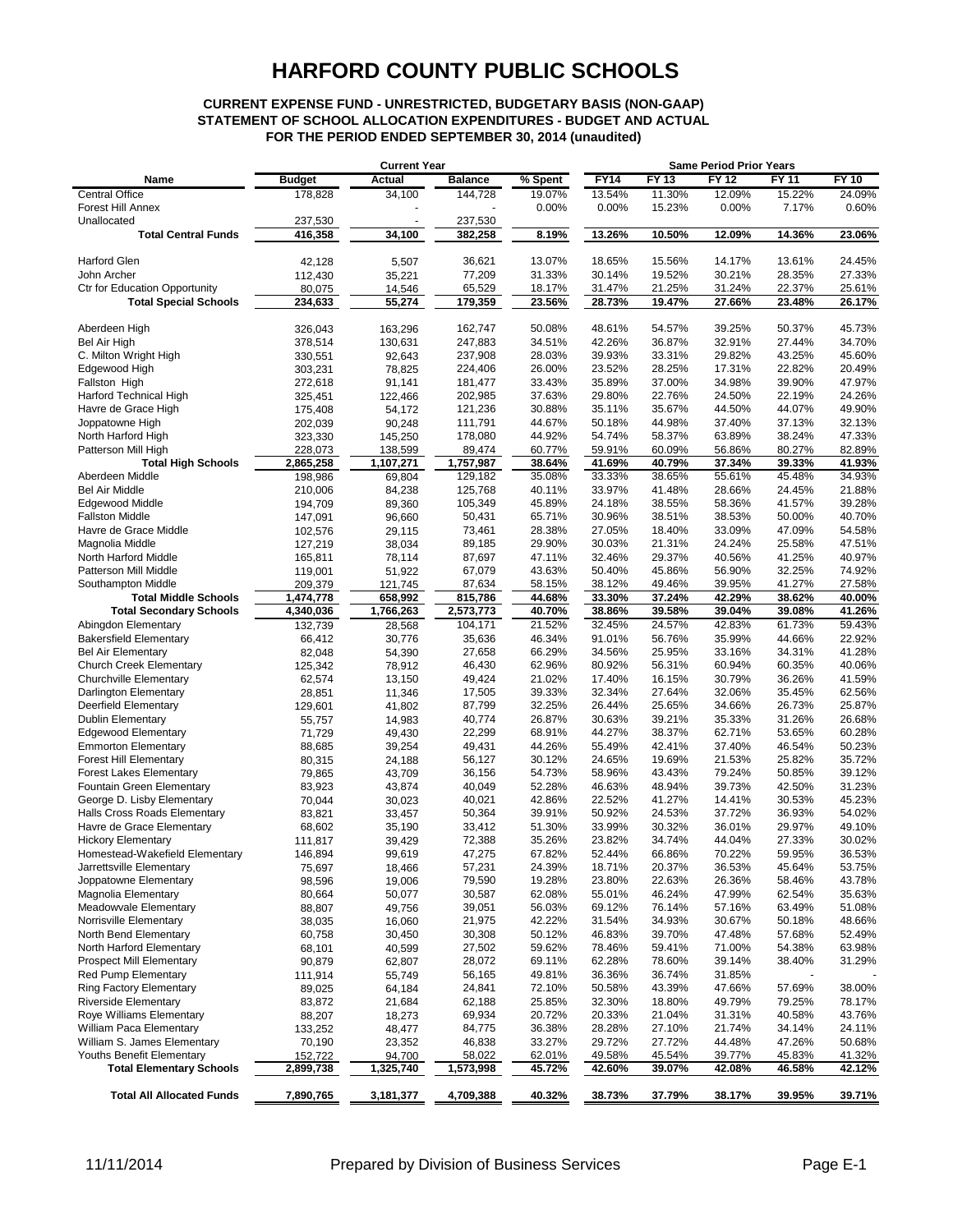### **CURRENT EXPENSE FUND - UNRESTRICTED, BUDGETARY BASIS (NON-GAAP) STATEMENT OF SCHOOL ALLOCATION EXPENDITURES - BUDGET AND ACTUAL FOR THE PERIOD ENDED SEPTEMBER 30, 2014 (unaudited)**

|                                      | <b>Current Year</b> |           |                | <b>Same Period Prior Years</b> |             |        |              |              |              |
|--------------------------------------|---------------------|-----------|----------------|--------------------------------|-------------|--------|--------------|--------------|--------------|
| Name                                 | <b>Budget</b>       | Actual    | <b>Balance</b> | % Spent                        | <b>FY14</b> | FY 13  | <b>FY 12</b> | <b>FY 11</b> | <b>FY 10</b> |
| <b>Central Office</b>                | 178,828             | 34,100    | 144,728        | 19.07%                         | 13.54%      | 11.30% | 12.09%       | 15.22%       | 24.09%       |
| Forest Hill Annex                    |                     |           |                | 0.00%                          | 0.00%       | 15.23% | 0.00%        | 7.17%        | 0.60%        |
| Unallocated                          | 237,530             |           | 237,530        |                                |             |        |              |              |              |
| <b>Total Central Funds</b>           | 416,358             | 34,100    | 382,258        | 8.19%                          | 13.26%      | 10.50% | 12.09%       | 14.36%       | 23.06%       |
|                                      |                     |           |                |                                |             |        |              |              |              |
| <b>Harford Glen</b>                  | 42,128              | 5,507     | 36,621         | 13.07%                         | 18.65%      | 15.56% | 14.17%       | 13.61%       | 24.45%       |
| John Archer                          | 112,430             | 35,221    | 77,209         | 31.33%                         | 30.14%      | 19.52% | 30.21%       | 28.35%       | 27.33%       |
| <b>Ctr for Education Opportunity</b> | 80,075              | 14,546    | 65,529         | 18.17%                         | 31.47%      | 21.25% | 31.24%       | 22.37%       | 25.61%       |
| <b>Total Special Schools</b>         | 234,633             | 55,274    | 179,359        | 23.56%                         | 28.73%      | 19.47% | 27.66%       | 23.48%       | 26.17%       |
|                                      |                     |           |                |                                |             |        |              |              |              |
| Aberdeen High                        | 326,043             | 163,296   | 162,747        | 50.08%                         | 48.61%      | 54.57% | 39.25%       | 50.37%       | 45.73%       |
| Bel Air High                         | 378,514             | 130,631   | 247,883        | 34.51%                         | 42.26%      | 36.87% | 32.91%       | 27.44%       | 34.70%       |
| C. Milton Wright High                | 330,551             | 92,643    | 237,908        | 28.03%                         | 39.93%      | 33.31% | 29.82%       | 43.25%       | 45.60%       |
| Edgewood High                        | 303,231             | 78,825    | 224,406        | 26.00%                         | 23.52%      | 28.25% | 17.31%       | 22.82%       | 20.49%       |
| Fallston High                        | 272,618             | 91,141    | 181,477        | 33.43%                         | 35.89%      | 37.00% | 34.98%       | 39.90%       | 47.97%       |
| Harford Technical High               | 325,451             | 122,466   | 202,985        | 37.63%                         | 29.80%      | 22.76% | 24.50%       | 22.19%       | 24.26%       |
| Havre de Grace High                  | 175,408             | 54,172    | 121,236        | 30.88%                         | 35.11%      | 35.67% | 44.50%       | 44.07%       | 49.90%       |
| Joppatowne High                      | 202,039             | 90,248    | 111,791        | 44.67%                         | 50.18%      | 44.98% | 37.40%       | 37.13%       | 32.13%       |
| North Harford High                   | 323,330             | 145,250   | 178,080        | 44.92%                         | 54.74%      | 58.37% | 63.89%       | 38.24%       | 47.33%       |
| Patterson Mill High                  | 228,073             | 138,599   | 89,474         | 60.77%                         | 59.91%      | 60.09% | 56.86%       | 80.27%       | 82.89%       |
| <b>Total High Schools</b>            | 2,865,258           | 1,107,271 | 1,757,987      | 38.64%                         | 41.69%      | 40.79% | 37.34%       | 39.33%       | 41.93%       |
| Aberdeen Middle                      | 198,986             | 69,804    | 129,182        | 35.08%                         | 33.33%      | 38.65% | 55.61%       | 45.48%       | 34.93%       |
| <b>Bel Air Middle</b>                | 210,006             | 84,238    | 125,768        | 40.11%                         | 33.97%      | 41.48% | 28.66%       | 24.45%       | 21.88%       |
| Edgewood Middle                      | 194,709             | 89,360    | 105,349        | 45.89%                         | 24.18%      | 38.55% | 58.36%       | 41.57%       | 39.28%       |
| <b>Fallston Middle</b>               | 147,091             | 96,660    | 50,431         | 65.71%                         | 30.96%      | 38.51% | 38.53%       | 50.00%       | 40.70%       |
| Havre de Grace Middle                | 102,576             | 29,115    | 73,461         | 28.38%                         | 27.05%      | 18.40% | 33.09%       | 47.09%       | 54.58%       |
| Magnolia Middle                      | 127,219             | 38,034    | 89,185         | 29.90%                         | 30.03%      | 21.31% | 24.24%       | 25.58%       | 47.51%       |
| North Harford Middle                 | 165,811             | 78,114    | 87,697         | 47.11%                         | 32.46%      | 29.37% | 40.56%       | 41.25%       | 40.97%       |
| Patterson Mill Middle                | 119,001             | 51,922    | 67,079         | 43.63%                         | 50.40%      | 45.86% | 56.90%       | 32.25%       | 74.92%       |
| Southampton Middle                   | 209,379             | 121,745   | 87,634         | 58.15%                         | 38.12%      | 49.46% | 39.95%       | 41.27%       | 27.58%       |
| <b>Total Middle Schools</b>          | 1,474,778           | 658,992   | 815,786        | 44.68%                         | 33.30%      | 37.24% | 42.29%       | 38.62%       | 40.00%       |
| <b>Total Secondary Schools</b>       | 4,340,036           | 1,766,263 | 2,573,773      | 40.70%                         | 38.86%      | 39.58% | 39.04%       | 39.08%       | 41.26%       |
| Abingdon Elementary                  | 132,739             | 28,568    | 104,171        | 21.52%                         | 32.45%      | 24.57% | 42.83%       | 61.73%       | 59.43%       |
| <b>Bakersfield Elementary</b>        | 66,412              | 30,776    | 35,636         | 46.34%                         | 91.01%      | 56.76% | 35.99%       | 44.66%       | 22.92%       |
| <b>Bel Air Elementary</b>            | 82,048              | 54,390    | 27,658         | 66.29%                         | 34.56%      | 25.95% | 33.16%       | 34.31%       | 41.28%       |
| <b>Church Creek Elementary</b>       | 125,342             | 78,912    | 46,430         | 62.96%                         | 80.92%      | 56.31% | 60.94%       | 60.35%       | 40.06%       |
| Churchville Elementary               | 62,574              | 13,150    | 49,424         | 21.02%                         | 17.40%      | 16.15% | 30.79%       | 36.26%       | 41.59%       |
| Darlington Elementary                | 28,851              | 11,346    | 17,505         | 39.33%                         | 32.34%      | 27.64% | 32.06%       | 35.45%       | 62.56%       |
| Deerfield Elementary                 | 129,601             | 41,802    | 87,799         | 32.25%                         | 26.44%      | 25.65% | 34.66%       | 26.73%       | 25.87%       |
| <b>Dublin Elementary</b>             | 55,757              | 14,983    | 40,774         | 26.87%                         | 30.63%      | 39.21% | 35.33%       | 31.26%       | 26.68%       |
| <b>Edgewood Elementary</b>           | 71,729              | 49,430    | 22,299         | 68.91%                         | 44.27%      | 38.37% | 62.71%       | 53.65%       | 60.28%       |
| <b>Emmorton Elementary</b>           | 88,685              | 39,254    | 49,431         | 44.26%                         | 55.49%      | 42.41% | 37.40%       | 46.54%       | 50.23%       |
| <b>Forest Hill Elementary</b>        | 80,315              | 24,188    | 56,127         | 30.12%                         | 24.65%      | 19.69% | 21.53%       | 25.82%       | 35.72%       |
| <b>Forest Lakes Elementary</b>       | 79,865              | 43,709    | 36,156         | 54.73%                         | 58.96%      | 43.43% | 79.24%       | 50.85%       | 39.12%       |
| Fountain Green Elementary            | 83,923              | 43,874    | 40,049         | 52.28%                         | 46.63%      | 48.94% | 39.73%       | 42.50%       | 31.23%       |
| George D. Lisby Elementary           | 70,044              | 30,023    | 40,021         | 42.86%                         | 22.52%      | 41.27% | 14.41%       | 30.53%       | 45.23%       |
| Halls Cross Roads Elementary         | 83,821              | 33,457    | 50,364         | 39.91%                         | 50.92%      | 24.53% | 37.72%       | 36.93%       | 54.02%       |
| Havre de Grace Elementary            | 68,602              | 35,190    | 33,412         | 51.30%                         | 33.99%      | 30.32% | 36.01%       | 29.97%       | 49.10%       |
| <b>Hickory Elementary</b>            | 111,817             | 39,429    | 72,388         | 35.26%                         | 23.82%      | 34.74% | 44.04%       | 27.33%       | 30.02%       |
| Homestead-Wakefield Elementary       | 146,894             | 99,619    | 47.275         | 67.82%                         | 52.44%      | 66.86% | 70.22%       | 59.95%       | 36.53%       |
| Jarrettsville Elementary             | 75,697              | 18,466    | 57,231         | 24.39%                         | 18.71%      | 20.37% | 36.53%       | 45.64%       | 53.75%       |
| Joppatowne Elementary                | 98,596              | 19,006    | 79,590         | 19.28%                         | 23.80%      | 22.63% | 26.36%       | 58.46%       | 43.78%       |
| Magnolia Elementary                  | 80,664              | 50,077    | 30,587         | 62.08%                         | 55.01%      | 46.24% | 47.99%       | 62.54%       | 35.63%       |
| Meadowvale Elementary                | 88,807              | 49,756    | 39,051         | 56.03%                         | 69.12%      | 76.14% | 57.16%       | 63.49%       | 51.08%       |
| Norrisville Elementary               | 38,035              | 16,060    | 21,975         | 42.22%                         | 31.54%      | 34.93% | 30.67%       | 50.18%       | 48.66%       |
| North Bend Elementary                | 60,758              | 30,450    | 30,308         | 50.12%                         | 46.83%      | 39.70% | 47.48%       | 57.68%       | 52.49%       |
| North Harford Elementary             | 68,101              | 40,599    | 27,502         | 59.62%                         | 78.46%      | 59.41% | 71.00%       | 54.38%       | 63.98%       |
| <b>Prospect Mill Elementary</b>      | 90,879              | 62,807    | 28,072         | 69.11%                         | 62.28%      | 78.60% | 39.14%       | 38.40%       | 31.29%       |
| <b>Red Pump Elementary</b>           | 111,914             | 55,749    | 56,165         | 49.81%                         | 36.36%      | 36.74% | 31.85%       |              |              |
| Ring Factory Elementary              | 89,025              | 64,184    | 24,841         | 72.10%                         | 50.58%      | 43.39% | 47.66%       | 57.69%       | 38.00%       |
| <b>Riverside Elementary</b>          | 83,872              | 21,684    | 62,188         | 25.85%                         | 32.30%      | 18.80% | 49.79%       | 79.25%       | 78.17%       |
| Roye Williams Elementary             | 88,207              | 18,273    | 69,934         | 20.72%                         | 20.33%      | 21.04% | 31.31%       | 40.58%       | 43.76%       |
| William Paca Elementary              | 133,252             | 48,477    | 84,775         | 36.38%                         | 28.28%      | 27.10% | 21.74%       | 34.14%       | 24.11%       |
| William S. James Elementary          | 70,190              | 23,352    | 46,838         | 33.27%                         | 29.72%      | 27.72% | 44.48%       | 47.26%       | 50.68%       |
| Youths Benefit Elementary            | 152,722             | 94,700    | 58,022         | 62.01%                         | 49.58%      | 45.54% | 39.77%       | 45.83%       | 41.32%       |
| <b>Total Elementary Schools</b>      | 2,899,738           | 1,325,740 | 1,573,998      | 45.72%                         | 42.60%      | 39.07% | 42.08%       | 46.58%       | 42.12%       |
|                                      |                     |           |                |                                |             |        |              |              |              |
| <b>Total All Allocated Funds</b>     | 7,890,765           | 3,181,377 | 4,709,388      | 40.32%                         | 38.73%      | 37.79% | 38.17%       | 39.95%       | 39.71%       |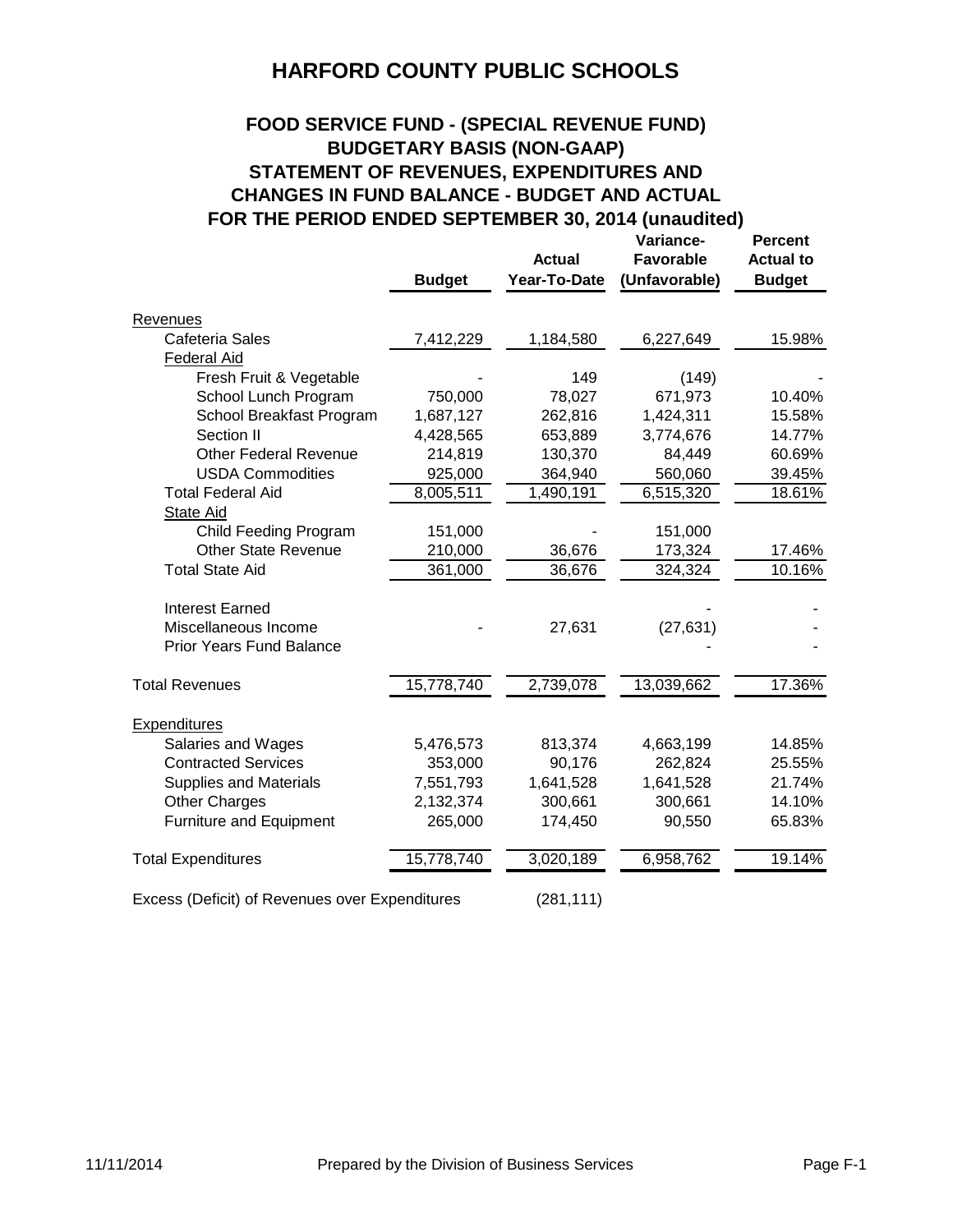## **FOOD SERVICE FUND - (SPECIAL REVENUE FUND) BUDGETARY BASIS (NON-GAAP) STATEMENT OF REVENUES, EXPENDITURES AND CHANGES IN FUND BALANCE - BUDGET AND ACTUAL FOR THE PERIOD ENDED SEPTEMBER 30, 2014 (unaudited)**

|                                                |               | <b>Actual</b> | Variance-<br><b>Favorable</b> | <b>Percent</b><br><b>Actual to</b> |
|------------------------------------------------|---------------|---------------|-------------------------------|------------------------------------|
|                                                | <b>Budget</b> | Year-To-Date  | (Unfavorable)                 | <b>Budget</b>                      |
| <b>Revenues</b>                                |               |               |                               |                                    |
| Cafeteria Sales                                | 7,412,229     | 1,184,580     | 6,227,649                     | 15.98%                             |
| <b>Federal Aid</b>                             |               |               |                               |                                    |
| Fresh Fruit & Vegetable                        |               | 149           | (149)                         |                                    |
| School Lunch Program                           | 750,000       | 78,027        | 671,973                       | 10.40%                             |
| School Breakfast Program                       | 1,687,127     | 262,816       | 1,424,311                     | 15.58%                             |
| Section II                                     | 4,428,565     | 653,889       | 3,774,676                     | 14.77%                             |
| <b>Other Federal Revenue</b>                   | 214,819       | 130,370       | 84,449                        | 60.69%                             |
| <b>USDA Commodities</b>                        | 925,000       | 364,940       | 560,060                       | 39.45%                             |
| <b>Total Federal Aid</b>                       | 8,005,511     | 1,490,191     | 6,515,320                     | 18.61%                             |
| State Aid                                      |               |               |                               |                                    |
| <b>Child Feeding Program</b>                   | 151,000       |               | 151,000                       |                                    |
| <b>Other State Revenue</b>                     | 210,000       | 36,676        | 173,324                       | 17.46%                             |
| <b>Total State Aid</b>                         | 361,000       | 36,676        | 324,324                       | 10.16%                             |
| <b>Interest Earned</b>                         |               |               |                               |                                    |
| Miscellaneous Income                           |               | 27,631        | (27, 631)                     |                                    |
| <b>Prior Years Fund Balance</b>                |               |               |                               |                                    |
| <b>Total Revenues</b>                          | 15,778,740    | 2,739,078     | 13,039,662                    | 17.36%                             |
|                                                |               |               |                               |                                    |
| Expenditures                                   |               |               |                               |                                    |
| Salaries and Wages                             | 5,476,573     | 813,374       | 4,663,199                     | 14.85%                             |
| <b>Contracted Services</b>                     | 353,000       | 90,176        | 262,824                       | 25.55%                             |
| <b>Supplies and Materials</b>                  | 7,551,793     | 1,641,528     | 1,641,528                     | 21.74%                             |
| <b>Other Charges</b>                           | 2,132,374     | 300,661       | 300,661                       | 14.10%                             |
| Furniture and Equipment                        | 265,000       | 174,450       | 90,550                        | 65.83%                             |
| <b>Total Expenditures</b>                      | 15,778,740    | 3,020,189     | 6,958,762                     | 19.14%                             |
| Excess (Deficit) of Revenues over Expenditures |               | (281, 111)    |                               |                                    |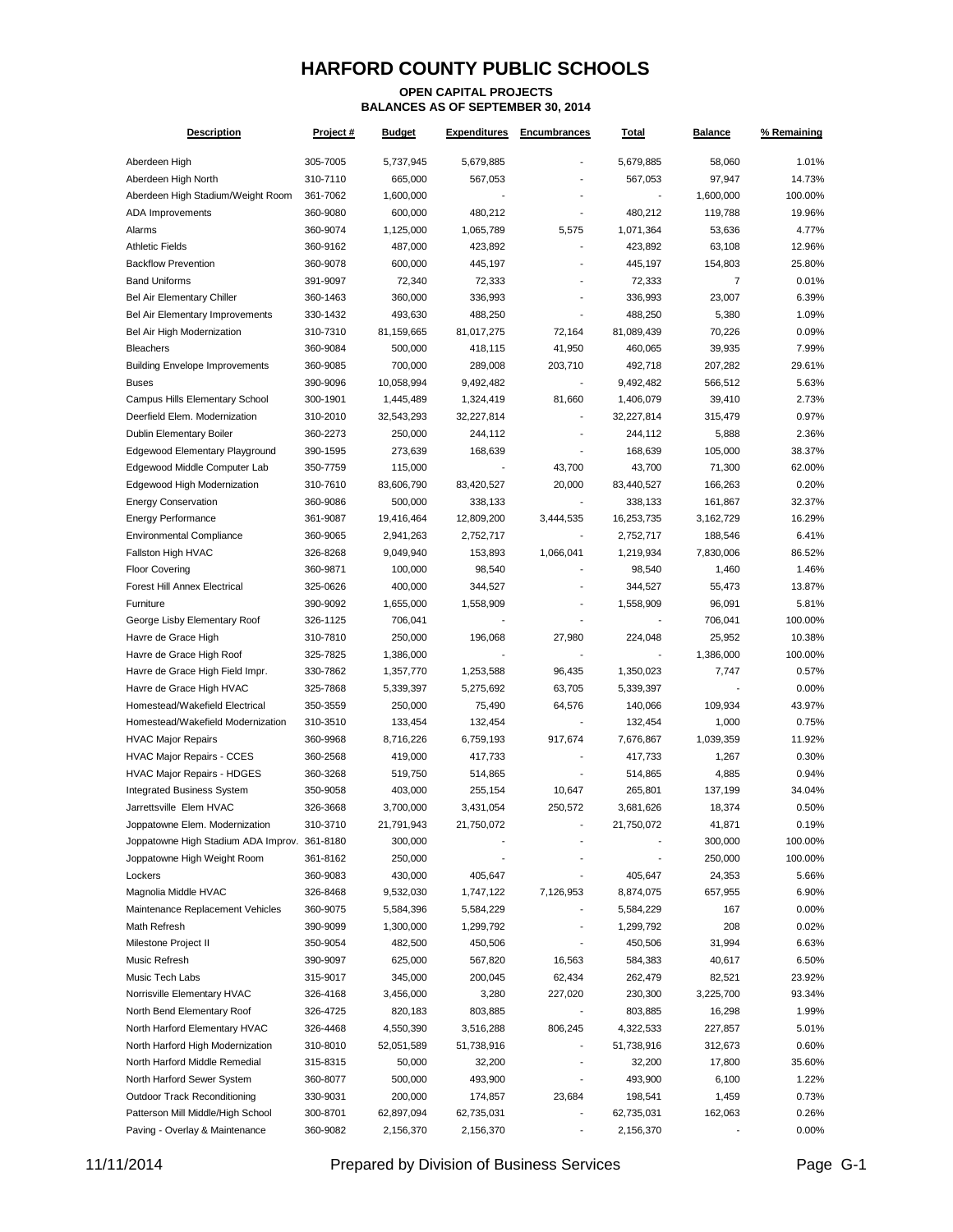#### **OPEN CAPITAL PROJECTS BALANCES AS OF SEPTEMBER 30, 2014**

| <b>Description</b>                           | Project # | <b>Budget</b> | <b>Expenditures</b> | <b>Encumbrances</b> | <u>Total</u> | <b>Balance</b> | % Remaining |
|----------------------------------------------|-----------|---------------|---------------------|---------------------|--------------|----------------|-------------|
| Aberdeen High                                | 305-7005  | 5,737,945     | 5,679,885           |                     | 5,679,885    | 58,060         | 1.01%       |
| Aberdeen High North                          | 310-7110  | 665,000       | 567,053             |                     | 567,053      | 97,947         | 14.73%      |
| Aberdeen High Stadium/Weight Room            | 361-7062  | 1,600,000     |                     |                     |              | 1,600,000      | 100.00%     |
| <b>ADA Improvements</b>                      | 360-9080  | 600,000       | 480,212             |                     | 480,212      | 119,788        | 19.96%      |
| Alarms                                       | 360-9074  | 1,125,000     | 1,065,789           | 5,575               | 1,071,364    | 53,636         | 4.77%       |
| <b>Athletic Fields</b>                       | 360-9162  | 487,000       | 423,892             |                     | 423,892      | 63,108         | 12.96%      |
| <b>Backflow Prevention</b>                   | 360-9078  | 600,000       | 445,197             |                     | 445,197      | 154,803        | 25.80%      |
| <b>Band Uniforms</b>                         | 391-9097  | 72,340        | 72,333              |                     | 72,333       | 7              | 0.01%       |
| <b>Bel Air Elementary Chiller</b>            | 360-1463  | 360,000       | 336,993             |                     | 336,993      | 23,007         | 6.39%       |
| Bel Air Elementary Improvements              | 330-1432  | 493,630       | 488,250             |                     | 488,250      | 5,380          | 1.09%       |
| Bel Air High Modernization                   | 310-7310  | 81,159,665    | 81,017,275          | 72,164              | 81,089,439   | 70,226         | 0.09%       |
| <b>Bleachers</b>                             | 360-9084  | 500,000       | 418,115             | 41,950              | 460,065      | 39,935         | 7.99%       |
| <b>Building Envelope Improvements</b>        | 360-9085  | 700,000       | 289,008             | 203,710             | 492,718      | 207,282        | 29.61%      |
| <b>Buses</b>                                 | 390-9096  | 10,058,994    | 9,492,482           |                     | 9,492,482    | 566,512        | 5.63%       |
| Campus Hills Elementary School               | 300-1901  | 1,445,489     | 1,324,419           | 81,660              | 1,406,079    | 39,410         | 2.73%       |
| Deerfield Elem. Modernization                | 310-2010  | 32,543,293    | 32,227,814          |                     | 32,227,814   | 315,479        | 0.97%       |
| Dublin Elementary Boiler                     | 360-2273  | 250,000       | 244,112             |                     | 244,112      | 5,888          | 2.36%       |
| Edgewood Elementary Playground               | 390-1595  | 273,639       | 168,639             |                     | 168,639      | 105,000        | 38.37%      |
| Edgewood Middle Computer Lab                 | 350-7759  | 115,000       |                     | 43,700              | 43,700       | 71,300         | 62.00%      |
| Edgewood High Modernization                  | 310-7610  | 83,606,790    | 83,420,527          | 20,000              | 83,440,527   | 166,263        | 0.20%       |
| <b>Energy Conservation</b>                   | 360-9086  | 500,000       | 338,133             |                     | 338,133      | 161,867        | 32.37%      |
| <b>Energy Performance</b>                    | 361-9087  | 19,416,464    | 12,809,200          | 3,444,535           | 16,253,735   | 3,162,729      | 16.29%      |
| <b>Environmental Compliance</b>              | 360-9065  | 2,941,263     | 2,752,717           |                     | 2,752,717    | 188,546        | 6.41%       |
| Fallston High HVAC                           | 326-8268  | 9,049,940     | 153,893             | 1,066,041           | 1,219,934    | 7,830,006      | 86.52%      |
| <b>Floor Covering</b>                        | 360-9871  | 100,000       | 98,540              |                     | 98,540       | 1,460          | 1.46%       |
| Forest Hill Annex Electrical                 | 325-0626  | 400,000       | 344,527             |                     | 344,527      | 55,473         | 13.87%      |
| Furniture                                    | 390-9092  | 1,655,000     | 1,558,909           | $\blacksquare$      | 1,558,909    | 96,091         | 5.81%       |
| George Lisby Elementary Roof                 | 326-1125  | 706,041       |                     |                     |              | 706,041        | 100.00%     |
| Havre de Grace High                          | 310-7810  | 250,000       | 196,068             | 27,980              | 224,048      | 25,952         | 10.38%      |
| Havre de Grace High Roof                     | 325-7825  | 1,386,000     |                     |                     |              | 1,386,000      | 100.00%     |
| Havre de Grace High Field Impr.              | 330-7862  | 1,357,770     | 1,253,588           | 96,435              | 1,350,023    | 7,747          | 0.57%       |
| Havre de Grace High HVAC                     | 325-7868  | 5,339,397     | 5,275,692           | 63,705              | 5,339,397    |                | 0.00%       |
| Homestead/Wakefield Electrical               | 350-3559  | 250,000       | 75,490              | 64,576              | 140,066      | 109,934        | 43.97%      |
| Homestead/Wakefield Modernization            | 310-3510  | 133,454       | 132,454             |                     | 132,454      | 1,000          | 0.75%       |
| <b>HVAC Major Repairs</b>                    | 360-9968  | 8,716,226     | 6,759,193           | 917,674             | 7,676,867    | 1,039,359      | 11.92%      |
| <b>HVAC Major Repairs - CCES</b>             | 360-2568  | 419,000       | 417,733             |                     | 417,733      | 1,267          | 0.30%       |
| <b>HVAC Major Repairs - HDGES</b>            | 360-3268  | 519,750       | 514,865             |                     | 514,865      | 4,885          | 0.94%       |
| <b>Integrated Business System</b>            | 350-9058  | 403,000       | 255,154             | 10,647              | 265,801      | 137,199        | 34.04%      |
| Jarrettsville Elem HVAC                      | 326-3668  | 3,700,000     | 3,431,054           | 250,572             | 3,681,626    | 18,374         | 0.50%       |
| Joppatowne Elem. Modernization               | 310-3710  | 21,791,943    | 21,750,072          |                     | 21,750,072   | 41,871         | 0.19%       |
| Joppatowne High Stadium ADA Improv. 361-8180 |           | 300,000       |                     |                     |              | 300,000        | 100.00%     |
| Joppatowne High Weight Room                  | 361-8162  | 250,000       |                     |                     |              | 250,000        | 100.00%     |
| Lockers                                      | 360-9083  | 430,000       | 405,647             |                     | 405,647      | 24,353         | 5.66%       |
| Magnolia Middle HVAC                         | 326-8468  | 9,532,030     | 1,747,122           | 7,126,953           | 8,874,075    | 657,955        | 6.90%       |
| Maintenance Replacement Vehicles             | 360-9075  | 5,584,396     | 5,584,229           |                     | 5,584,229    | 167            | 0.00%       |
| Math Refresh                                 | 390-9099  | 1,300,000     | 1,299,792           |                     | 1,299,792    | 208            | 0.02%       |
| Milestone Project II                         | 350-9054  | 482,500       | 450,506             |                     | 450,506      | 31,994         | 6.63%       |
| Music Refresh                                | 390-9097  | 625,000       | 567,820             | 16,563              | 584,383      | 40,617         | 6.50%       |
| Music Tech Labs                              | 315-9017  | 345,000       | 200,045             | 62,434              | 262,479      | 82,521         | 23.92%      |
| Norrisville Elementary HVAC                  | 326-4168  | 3,456,000     | 3,280               | 227,020             | 230,300      | 3,225,700      | 93.34%      |
| North Bend Elementary Roof                   | 326-4725  | 820,183       | 803,885             |                     | 803,885      | 16,298         | 1.99%       |
| North Harford Elementary HVAC                | 326-4468  | 4,550,390     | 3,516,288           | 806,245             | 4,322,533    | 227,857        | 5.01%       |
| North Harford High Modernization             | 310-8010  | 52,051,589    | 51,738,916          |                     | 51,738,916   | 312,673        | 0.60%       |
| North Harford Middle Remedial                | 315-8315  | 50,000        | 32,200              |                     | 32,200       | 17,800         | 35.60%      |
| North Harford Sewer System                   | 360-8077  | 500,000       | 493,900             |                     | 493,900      | 6,100          | 1.22%       |
| Outdoor Track Reconditioning                 | 330-9031  | 200,000       | 174,857             | 23,684              | 198,541      | 1,459          | 0.73%       |
| Patterson Mill Middle/High School            | 300-8701  | 62,897,094    | 62,735,031          |                     | 62,735,031   | 162,063        | 0.26%       |
| Paving - Overlay & Maintenance               | 360-9082  | 2,156,370     | 2,156,370           |                     | 2,156,370    |                | 0.00%       |